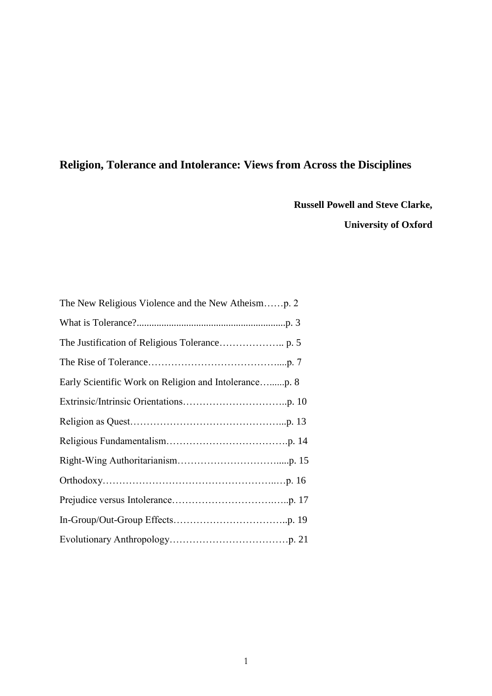# **Religion, Tolerance and Intolerance: Views from Across the Disciplines**

**Russell Powell and Steve Clarke, University of Oxford**

| The New Religious Violence and the New Atheismp. 2 |
|----------------------------------------------------|
|                                                    |
|                                                    |
|                                                    |
|                                                    |
|                                                    |
|                                                    |
|                                                    |
|                                                    |
|                                                    |
|                                                    |
|                                                    |
|                                                    |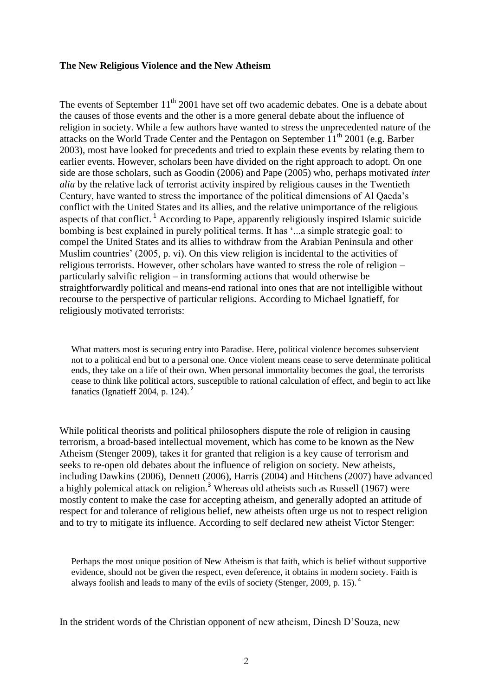#### **The New Religious Violence and the New Atheism**

The events of September 11<sup>th</sup> 2001 have set off two academic debates. One is a debate about the causes of those events and the other is a more general debate about the influence of religion in society. While a few authors have wanted to stress the unprecedented nature of the attacks on the World Trade Center and the Pentagon on September  $11<sup>th</sup> 2001$  (e.g. Barber 2003), most have looked for precedents and tried to explain these events by relating them to earlier events. However, scholars been have divided on the right approach to adopt. On one side are those scholars, such as Goodin (2006) and Pape (2005) who, perhaps motivated *inter alia* by the relative lack of terrorist activity inspired by religious causes in the Twentieth Century, have wanted to stress the importance of the political dimensions of Al Qaeda's conflict with the United States and its allies, and the relative unimportance of the religious aspects of that conflict.<sup>1</sup> According to Pape, apparently religiously inspired Islamic suicide bombing is best explained in purely political terms. It has '...a simple strategic goal: to compel the United States and its allies to withdraw from the Arabian Peninsula and other Muslim countries' (2005, p. vi). On this view religion is incidental to the activities of religious terrorists. However, other scholars have wanted to stress the role of religion – particularly salvific religion – in transforming actions that would otherwise be straightforwardly political and means-end rational into ones that are not intelligible without recourse to the perspective of particular religions. According to Michael Ignatieff, for religiously motivated terrorists:

What matters most is securing entry into Paradise. Here, political violence becomes subservient not to a political end but to a personal one. Once violent means cease to serve determinate political ends, they take on a life of their own. When personal immortality becomes the goal, the terrorists cease to think like political actors, susceptible to rational calculation of effect, and begin to act like fanatics (Ignatieff  $2004$ , p. 124).<sup>2</sup>

While political theorists and political philosophers dispute the role of religion in causing terrorism, a broad-based intellectual movement, which has come to be known as the New Atheism (Stenger 2009), takes it for granted that religion is a key cause of terrorism and seeks to re-open old debates about the influence of religion on society. New atheists, including Dawkins (2006), Dennett (2006), Harris (2004) and Hitchens (2007) have advanced a highly polemical attack on religion.<sup>3</sup> Whereas old atheists such as Russell (1967) were mostly content to make the case for accepting atheism, and generally adopted an attitude of respect for and tolerance of religious belief, new atheists often urge us not to respect religion and to try to mitigate its influence. According to self declared new atheist Victor Stenger:

Perhaps the most unique position of New Atheism is that faith, which is belief without supportive evidence, should not be given the respect, even deference, it obtains in modern society. Faith is always foolish and leads to many of the evils of society (Stenger, 2009, p. 15). <sup>4</sup>

In the strident words of the Christian opponent of new atheism, Dinesh D'Souza, new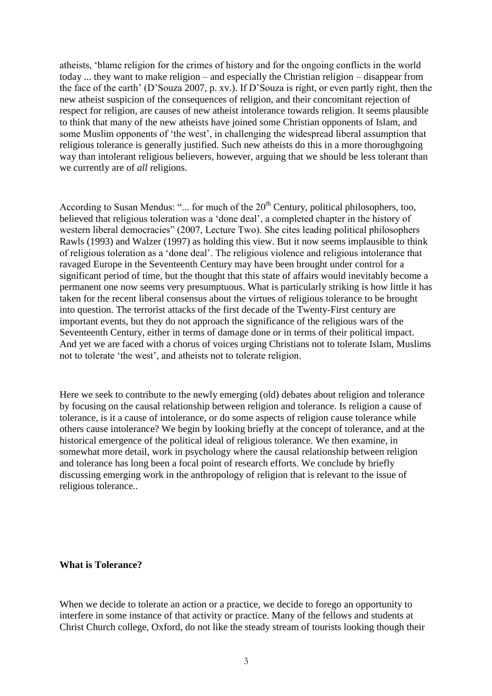atheists, ‗blame religion for the crimes of history and for the ongoing conflicts in the world today ... they want to make religion – and especially the Christian religion – disappear from the face of the earth' (D'Souza 2007, p. xv.). If D'Souza is right, or even partly right, then the new atheist suspicion of the consequences of religion, and their concomitant rejection of respect for religion, are causes of new atheist intolerance towards religion. It seems plausible to think that many of the new atheists have joined some Christian opponents of Islam, and some Muslim opponents of 'the west', in challenging the widespread liberal assumption that religious tolerance is generally justified. Such new atheists do this in a more thoroughgoing way than intolerant religious believers, however, arguing that we should be less tolerant than we currently are of *all* religions.

According to Susan Mendus: "... for much of the 20<sup>th</sup> Century, political philosophers, too, believed that religious toleration was a 'done deal', a completed chapter in the history of western liberal democracies" (2007, Lecture Two). She cites leading political philosophers Rawls (1993) and Walzer (1997) as holding this view. But it now seems implausible to think of religious toleration as a ‗done deal'. The religious violence and religious intolerance that ravaged Europe in the Seventeenth Century may have been brought under control for a significant period of time, but the thought that this state of affairs would inevitably become a permanent one now seems very presumptuous. What is particularly striking is how little it has taken for the recent liberal consensus about the virtues of religious tolerance to be brought into question. The terrorist attacks of the first decade of the Twenty-First century are important events, but they do not approach the significance of the religious wars of the Seventeenth Century, either in terms of damage done or in terms of their political impact. And yet we are faced with a chorus of voices urging Christians not to tolerate Islam, Muslims not to tolerate 'the west', and atheists not to tolerate religion.

Here we seek to contribute to the newly emerging (old) debates about religion and tolerance by focusing on the causal relationship between religion and tolerance. Is religion a cause of tolerance, is it a cause of intolerance, or do some aspects of religion cause tolerance while others cause intolerance? We begin by looking briefly at the concept of tolerance, and at the historical emergence of the political ideal of religious tolerance. We then examine, in somewhat more detail, work in psychology where the causal relationship between religion and tolerance has long been a focal point of research efforts. We conclude by briefly discussing emerging work in the anthropology of religion that is relevant to the issue of religious tolerance..

#### **What is Tolerance?**

When we decide to tolerate an action or a practice, we decide to forego an opportunity to interfere in some instance of that activity or practice. Many of the fellows and students at Christ Church college, Oxford, do not like the steady stream of tourists looking though their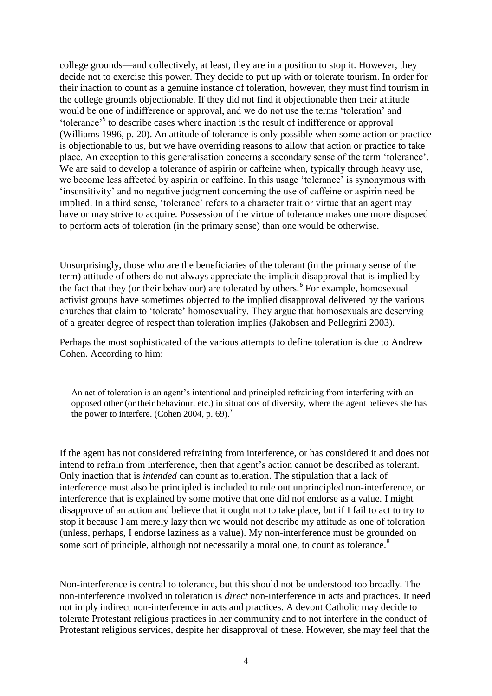college grounds—and collectively, at least, they are in a position to stop it. However, they decide not to exercise this power. They decide to put up with or tolerate tourism. In order for their inaction to count as a genuine instance of toleration, however, they must find tourism in the college grounds objectionable. If they did not find it objectionable then their attitude would be one of indifference or approval, and we do not use the terms 'toleration' and 'tolerance'<sup>5</sup> to describe cases where inaction is the result of indifference or approval (Williams 1996, p. 20). An attitude of tolerance is only possible when some action or practice is objectionable to us, but we have overriding reasons to allow that action or practice to take place. An exception to this generalisation concerns a secondary sense of the term 'tolerance'. We are said to develop a tolerance of aspirin or caffeine when, typically through heavy use, we become less affected by aspirin or caffeine. In this usage 'tolerance' is synonymous with ‗insensitivity' and no negative judgment concerning the use of caffeine or aspirin need be implied. In a third sense, 'tolerance' refers to a character trait or virtue that an agent may have or may strive to acquire. Possession of the virtue of tolerance makes one more disposed to perform acts of toleration (in the primary sense) than one would be otherwise.

Unsurprisingly, those who are the beneficiaries of the tolerant (in the primary sense of the term) attitude of others do not always appreciate the implicit disapproval that is implied by the fact that they (or their behaviour) are tolerated by others.<sup>6</sup> For example, homosexual activist groups have sometimes objected to the implied disapproval delivered by the various churches that claim to 'tolerate' homosexuality. They argue that homosexuals are deserving of a greater degree of respect than toleration implies (Jakobsen and Pellegrini 2003).

Perhaps the most sophisticated of the various attempts to define toleration is due to Andrew Cohen. According to him:

An act of toleration is an agent's intentional and principled refraining from interfering with an opposed other (or their behaviour, etc.) in situations of diversity, where the agent believes she has the power to interfere. (Cohen 2004, p. 69).<sup>7</sup>

If the agent has not considered refraining from interference, or has considered it and does not intend to refrain from interference, then that agent's action cannot be described as tolerant. Only inaction that is *intended* can count as toleration. The stipulation that a lack of interference must also be principled is included to rule out unprincipled non-interference, or interference that is explained by some motive that one did not endorse as a value. I might disapprove of an action and believe that it ought not to take place, but if I fail to act to try to stop it because I am merely lazy then we would not describe my attitude as one of toleration (unless, perhaps, I endorse laziness as a value). My non-interference must be grounded on some sort of principle, although not necessarily a moral one, to count as tolerance.<sup>8</sup>

Non-interference is central to tolerance, but this should not be understood too broadly. The non-interference involved in toleration is *direct* non-interference in acts and practices. It need not imply indirect non-interference in acts and practices. A devout Catholic may decide to tolerate Protestant religious practices in her community and to not interfere in the conduct of Protestant religious services, despite her disapproval of these. However, she may feel that the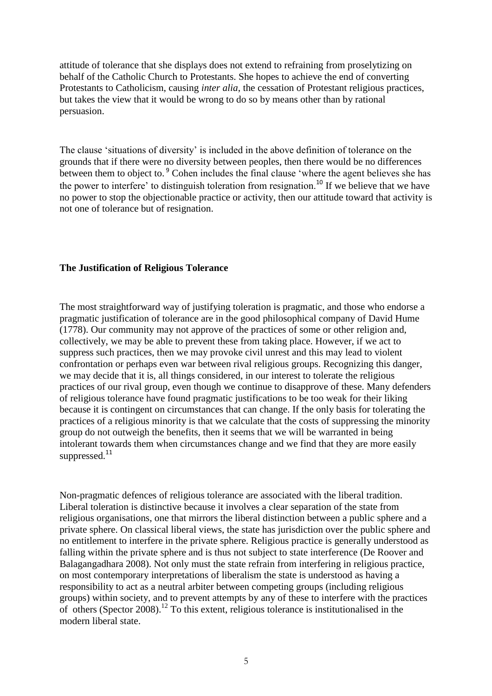attitude of tolerance that she displays does not extend to refraining from proselytizing on behalf of the Catholic Church to Protestants. She hopes to achieve the end of converting Protestants to Catholicism, causing *inter alia*, the cessation of Protestant religious practices, but takes the view that it would be wrong to do so by means other than by rational persuasion.

The clause 'situations of diversity' is included in the above definition of tolerance on the grounds that if there were no diversity between peoples, then there would be no differences between them to object to.<sup>9</sup> Cohen includes the final clause 'where the agent believes she has the power to interfere' to distinguish toleration from resignation.<sup>10</sup> If we believe that we have no power to stop the objectionable practice or activity, then our attitude toward that activity is not one of tolerance but of resignation.

## **The Justification of Religious Tolerance**

The most straightforward way of justifying toleration is pragmatic, and those who endorse a pragmatic justification of tolerance are in the good philosophical company of David Hume (1778). Our community may not approve of the practices of some or other religion and, collectively, we may be able to prevent these from taking place. However, if we act to suppress such practices, then we may provoke civil unrest and this may lead to violent confrontation or perhaps even war between rival religious groups. Recognizing this danger, we may decide that it is, all things considered, in our interest to tolerate the religious practices of our rival group, even though we continue to disapprove of these. Many defenders of religious tolerance have found pragmatic justifications to be too weak for their liking because it is contingent on circumstances that can change. If the only basis for tolerating the practices of a religious minority is that we calculate that the costs of suppressing the minority group do not outweigh the benefits, then it seems that we will be warranted in being intolerant towards them when circumstances change and we find that they are more easily suppressed.<sup>11</sup>

Non-pragmatic defences of religious tolerance are associated with the liberal tradition. Liberal toleration is distinctive because it involves a clear separation of the state from religious organisations, one that mirrors the liberal distinction between a public sphere and a private sphere. On classical liberal views, the state has jurisdiction over the public sphere and no entitlement to interfere in the private sphere. Religious practice is generally understood as falling within the private sphere and is thus not subject to state interference (De Roover and Balagangadhara 2008). Not only must the state refrain from interfering in religious practice, on most contemporary interpretations of liberalism the state is understood as having a responsibility to act as a neutral arbiter between competing groups (including religious groups) within society, and to prevent attempts by any of these to interfere with the practices of others (Spector 2008).<sup>12</sup> To this extent, religious tolerance is institutionalised in the modern liberal state.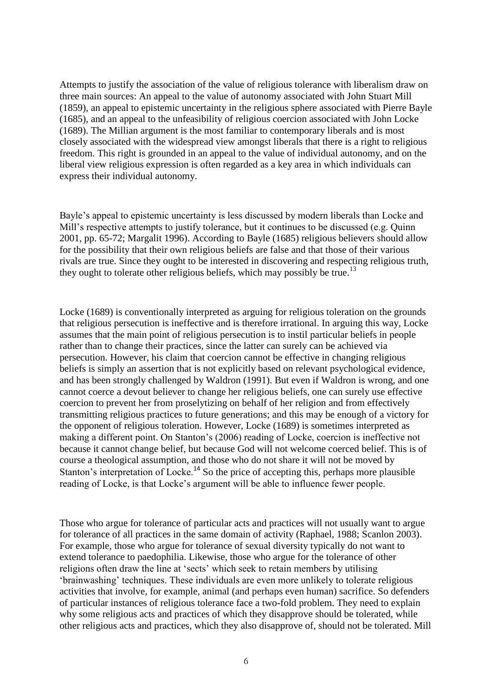Attempts to justify the association of the value of religious tolerance with liberalism draw on three main sources: An appeal to the value of autonomy associated with John Stuart Mill (1859), an appeal to epistemic uncertainty in the religious sphere associated with Pierre Bayle (1685), and an appeal to the unfeasibility of religious coercion associated with John Locke (1689). The Millian argument is the most familiar to contemporary liberals and is most closely associated with the widespread view amongst liberals that there is a right to religious freedom. This right is grounded in an appeal to the value of individual autonomy, and on the liberal view religious expression is often regarded as a key area in which individuals can express their individual autonomy.

Bayle's appeal to epistemic uncertainty is less discussed by modern liberals than Locke and Mill's respective attempts to justify tolerance, but it continues to be discussed (e.g. Quinn 2001, pp. 65-72; Margalit 1996). According to Bayle (1685) religious believers should allow for the possibility that their own religious beliefs are false and that those of their various rivals are true. Since they ought to be interested in discovering and respecting religious truth, they ought to tolerate other religious beliefs, which may possibly be true.<sup>13</sup>

Locke (1689) is conventionally interpreted as arguing for religious toleration on the grounds that religious persecution is ineffective and is therefore irrational. In arguing this way, Locke assumes that the main point of religious persecution is to instil particular beliefs in people rather than to change their practices, since the latter can surely can be achieved via persecution. However, his claim that coercion cannot be effective in changing religious beliefs is simply an assertion that is not explicitly based on relevant psychological evidence, and has been strongly challenged by Waldron (1991). But even if Waldron is wrong, and one cannot coerce a devout believer to change her religious beliefs, one can surely use effective coercion to prevent her from proselytizing on behalf of her religion and from effectively transmitting religious practices to future generations; and this may be enough of a victory for the opponent of religious toleration. However, Locke (1689) is sometimes interpreted as making a different point. On Stanton's (2006) reading of Locke, coercion is ineffective not because it cannot change belief, but because God will not welcome coerced belief. This is of course a theological assumption, and those who do not share it will not be moved by Stanton's interpretation of Locke.<sup>14</sup> So the price of accepting this, perhaps more plausible reading of Locke, is that Locke's argument will be able to influence fewer people.

Those who argue for tolerance of particular acts and practices will not usually want to argue for tolerance of all practices in the same domain of activity (Raphael, 1988; Scanlon 2003). For example, those who argue for tolerance of sexual diversity typically do not want to extend tolerance to paedophilia. Likewise, those who argue for the tolerance of other religions often draw the line at 'sects' which seek to retain members by utilising ‗brainwashing' techniques. These individuals are even more unlikely to tolerate religious activities that involve, for example, animal (and perhaps even human) sacrifice. So defenders of particular instances of religious tolerance face a two-fold problem. They need to explain why some religious acts and practices of which they disapprove should be tolerated, while other religious acts and practices, which they also disapprove of, should not be tolerated. Mill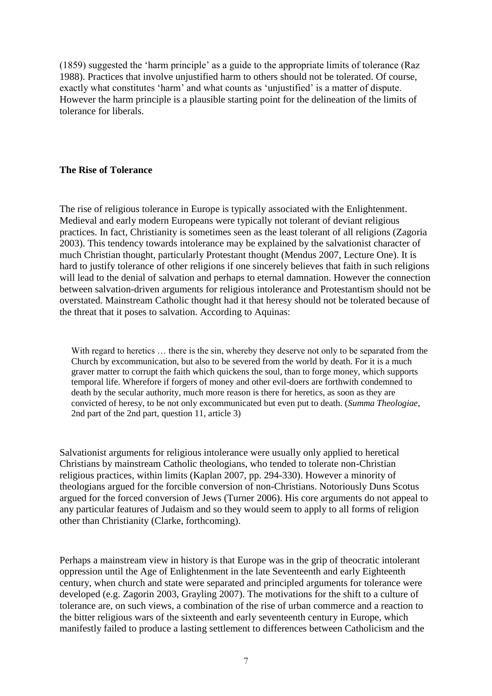(1859) suggested the ‗harm principle' as a guide to the appropriate limits of tolerance (Raz 1988). Practices that involve unjustified harm to others should not be tolerated. Of course, exactly what constitutes 'harm' and what counts as 'unjustified' is a matter of dispute. However the harm principle is a plausible starting point for the delineation of the limits of tolerance for liberals.

## **The Rise of Tolerance**

The rise of religious tolerance in Europe is typically associated with the Enlightenment. Medieval and early modern Europeans were typically not tolerant of deviant religious practices. In fact, Christianity is sometimes seen as the least tolerant of all religions (Zagoria 2003). This tendency towards intolerance may be explained by the salvationist character of much Christian thought, particularly Protestant thought (Mendus 2007, Lecture One). It is hard to justify tolerance of other religions if one sincerely believes that faith in such religions will lead to the denial of salvation and perhaps to eternal damnation. However the connection between salvation-driven arguments for religious intolerance and Protestantism should not be overstated. Mainstream Catholic thought had it that heresy should not be tolerated because of the threat that it poses to salvation. According to Aquinas:

With regard to heretics ... there is the sin, whereby they deserve not only to be separated from the Church by excommunication, but also to be severed from the world by death. For it is a much graver matter to corrupt the faith which quickens the soul, than to forge money, which supports temporal life. Wherefore if forgers of money and other evil-doers are forthwith condemned to death by the secular authority, much more reason is there for heretics, as soon as they are convicted of heresy, to be not only excommunicated but even put to death. (*Summa Theologiae*, 2nd part of the 2nd part, question 11, article 3)

Salvationist arguments for religious intolerance were usually only applied to heretical Christians by mainstream Catholic theologians, who tended to tolerate non-Christian religious practices, within limits (Kaplan 2007, pp. 294-330). However a minority of theologians argued for the forcible conversion of non-Christians. Notoriously Duns Scotus argued for the forced conversion of Jews (Turner 2006). His core arguments do not appeal to any particular features of Judaism and so they would seem to apply to all forms of religion other than Christianity (Clarke, forthcoming).

Perhaps a mainstream view in history is that Europe was in the grip of theocratic intolerant oppression until the Age of Enlightenment in the late Seventeenth and early Eighteenth century, when church and state were separated and principled arguments for tolerance were developed (e.g. Zagorin 2003, Grayling 2007). The motivations for the shift to a culture of tolerance are, on such views, a combination of the rise of urban commerce and a reaction to the bitter religious wars of the sixteenth and early seventeenth century in Europe, which manifestly failed to produce a lasting settlement to differences between Catholicism and the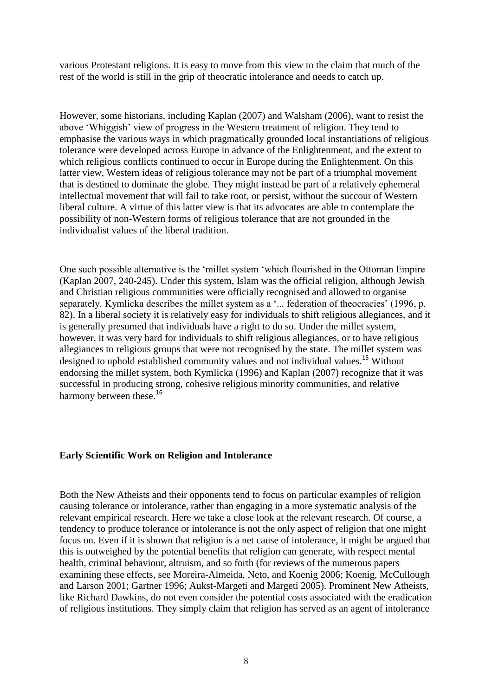various Protestant religions. It is easy to move from this view to the claim that much of the rest of the world is still in the grip of theocratic intolerance and needs to catch up.

However, some historians, including Kaplan (2007) and Walsham (2006), want to resist the above ‗Whiggish' view of progress in the Western treatment of religion. They tend to emphasise the various ways in which pragmatically grounded local instantiations of religious tolerance were developed across Europe in advance of the Enlightenment, and the extent to which religious conflicts continued to occur in Europe during the Enlightenment. On this latter view, Western ideas of religious tolerance may not be part of a triumphal movement that is destined to dominate the globe. They might instead be part of a relatively ephemeral intellectual movement that will fail to take root, or persist, without the succour of Western liberal culture. A virtue of this latter view is that its advocates are able to contemplate the possibility of non-Western forms of religious tolerance that are not grounded in the individualist values of the liberal tradition.

One such possible alternative is the 'millet system 'which flourished in the Ottoman Empire (Kaplan 2007, 240-245). Under this system, Islam was the official religion, although Jewish and Christian religious communities were officially recognised and allowed to organise separately. Kymlicka describes the millet system as a '... federation of theocracies' (1996, p. 82). In a liberal society it is relatively easy for individuals to shift religious allegiances, and it is generally presumed that individuals have a right to do so. Under the millet system, however, it was very hard for individuals to shift religious allegiances, or to have religious allegiances to religious groups that were not recognised by the state. The millet system was designed to uphold established community values and not individual values.<sup>15</sup> Without endorsing the millet system, both Kymlicka (1996) and Kaplan (2007) recognize that it was successful in producing strong, cohesive religious minority communities, and relative harmony between these.<sup>16</sup>

#### **Early Scientific Work on Religion and Intolerance**

Both the New Atheists and their opponents tend to focus on particular examples of religion causing tolerance or intolerance, rather than engaging in a more systematic analysis of the relevant empirical research. Here we take a close look at the relevant research. Of course, a tendency to produce tolerance or intolerance is not the only aspect of religion that one might focus on. Even if it is shown that religion is a net cause of intolerance, it might be argued that this is outweighed by the potential benefits that religion can generate, with respect mental health, criminal behaviour, altruism, and so forth (for reviews of the numerous papers examining these effects, see Moreira-Almeida, Neto, and Koenig 2006; Koenig, McCullough and Larson 2001; Gartner 1996; Aukst-Margeti and Margeti 2005). Prominent New Atheists, like Richard Dawkins, do not even consider the potential costs associated with the eradication of religious institutions. They simply claim that religion has served as an agent of intolerance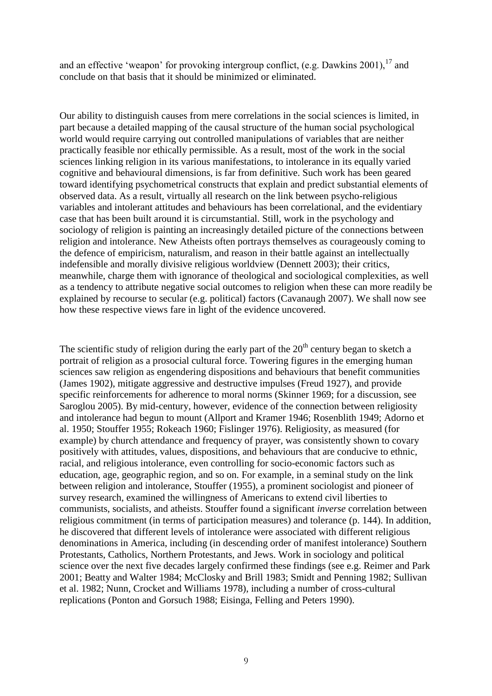and an effective 'weapon' for provoking intergroup conflict, (e.g. Dawkins 2001),  $17$  and conclude on that basis that it should be minimized or eliminated.

Our ability to distinguish causes from mere correlations in the social sciences is limited, in part because a detailed mapping of the causal structure of the human social psychological world would require carrying out controlled manipulations of variables that are neither practically feasible nor ethically permissible. As a result, most of the work in the social sciences linking religion in its various manifestations, to intolerance in its equally varied cognitive and behavioural dimensions, is far from definitive. Such work has been geared toward identifying psychometrical constructs that explain and predict substantial elements of observed data. As a result, virtually all research on the link between psycho-religious variables and intolerant attitudes and behaviours has been correlational, and the evidentiary case that has been built around it is circumstantial. Still, work in the psychology and sociology of religion is painting an increasingly detailed picture of the connections between religion and intolerance. New Atheists often portrays themselves as courageously coming to the defence of empiricism, naturalism, and reason in their battle against an intellectually indefensible and morally divisive religious worldview (Dennett 2003); their critics, meanwhile, charge them with ignorance of theological and sociological complexities, as well as a tendency to attribute negative social outcomes to religion when these can more readily be explained by recourse to secular (e.g. political) factors (Cavanaugh 2007). We shall now see how these respective views fare in light of the evidence uncovered.

The scientific study of religion during the early part of the  $20<sup>th</sup>$  century began to sketch a portrait of religion as a prosocial cultural force. Towering figures in the emerging human sciences saw religion as engendering dispositions and behaviours that benefit communities (James 1902), mitigate aggressive and destructive impulses (Freud 1927), and provide specific reinforcements for adherence to moral norms (Skinner 1969; for a discussion, see Saroglou 2005). By mid-century, however, evidence of the connection between religiosity and intolerance had begun to mount (Allport and Kramer 1946; Rosenblith 1949; Adorno et al. 1950; Stouffer 1955; Rokeach 1960; Fislinger 1976). Religiosity, as measured (for example) by church attendance and frequency of prayer, was consistently shown to covary positively with attitudes, values, dispositions, and behaviours that are conducive to ethnic, racial, and religious intolerance, even controlling for socio-economic factors such as education, age, geographic region, and so on. For example, in a seminal study on the link between religion and intolerance, Stouffer (1955), a prominent sociologist and pioneer of survey research, examined the willingness of Americans to extend civil liberties to communists, socialists, and atheists. Stouffer found a significant *inverse* correlation between religious commitment (in terms of participation measures) and tolerance (p. 144). In addition, he discovered that different levels of intolerance were associated with different religious denominations in America, including (in descending order of manifest intolerance) Southern Protestants, Catholics, Northern Protestants, and Jews. Work in sociology and political science over the next five decades largely confirmed these findings (see e.g. Reimer and Park 2001; Beatty and Walter 1984; McClosky and Brill 1983; Smidt and Penning 1982; Sullivan et al. 1982; Nunn, Crocket and Williams 1978), including a number of cross-cultural replications (Ponton and Gorsuch 1988; Eisinga, Felling and Peters 1990).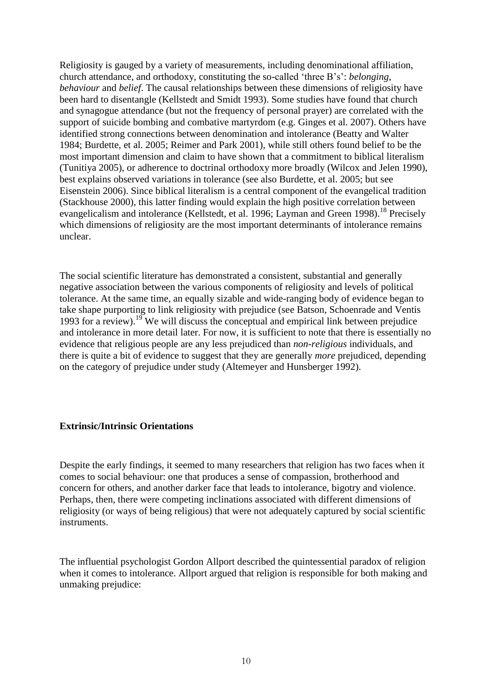Religiosity is gauged by a variety of measurements, including denominational affiliation, church attendance, and orthodoxy, constituting the so-called ‗three B's': *belonging*, *behaviour* and *belief*. The causal relationships between these dimensions of religiosity have been hard to disentangle (Kellstedt and Smidt 1993). Some studies have found that church and synagogue attendance (but not the frequency of personal prayer) are correlated with the support of suicide bombing and combative martyrdom (e.g. Ginges et al. 2007). Others have identified strong connections between denomination and intolerance (Beatty and Walter 1984; Burdette, et al. 2005; Reimer and Park 2001), while still others found belief to be the most important dimension and claim to have shown that a commitment to biblical literalism (Tunitiya 2005), or adherence to doctrinal orthodoxy more broadly (Wilcox and Jelen 1990), best explains observed variations in tolerance (see also Burdette, et al. 2005; but see Eisenstein 2006). Since biblical literalism is a central component of the evangelical tradition (Stackhouse 2000), this latter finding would explain the high positive correlation between evangelicalism and intolerance (Kellstedt, et al. 1996; Layman and Green 1998).<sup>18</sup> Precisely which dimensions of religiosity are the most important determinants of intolerance remains unclear.

The social scientific literature has demonstrated a consistent, substantial and generally negative association between the various components of religiosity and levels of political tolerance. At the same time, an equally sizable and wide-ranging body of evidence began to take shape purporting to link religiosity with prejudice (see Batson, Schoenrade and Ventis 1993 for a review).<sup>19</sup> We will discuss the conceptual and empirical link between prejudice and intolerance in more detail later. For now, it is sufficient to note that there is essentially no evidence that religious people are any less prejudiced than *non-religious* individuals, and there is quite a bit of evidence to suggest that they are generally *more* prejudiced, depending on the category of prejudice under study (Altemeyer and Hunsberger 1992).

### **Extrinsic/Intrinsic Orientations**

Despite the early findings, it seemed to many researchers that religion has two faces when it comes to social behaviour: one that produces a sense of compassion, brotherhood and concern for others, and another darker face that leads to intolerance, bigotry and violence. Perhaps, then, there were competing inclinations associated with different dimensions of religiosity (or ways of being religious) that were not adequately captured by social scientific instruments.

The influential psychologist Gordon Allport described the quintessential paradox of religion when it comes to intolerance. Allport argued that religion is responsible for both making and unmaking prejudice: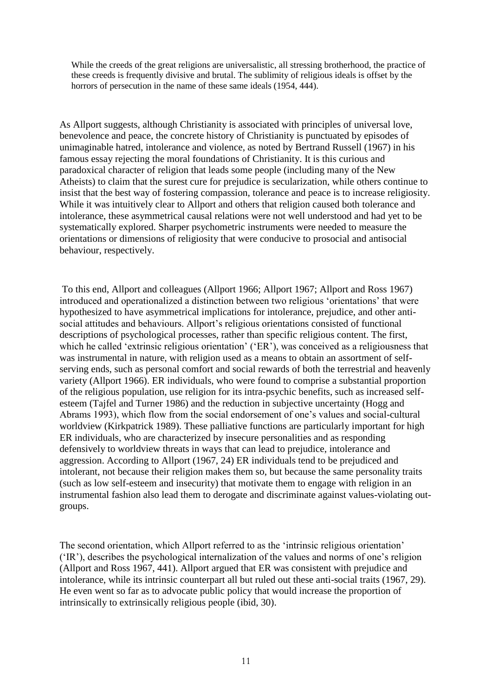While the creeds of the great religions are universalistic, all stressing brotherhood, the practice of these creeds is frequently divisive and brutal. The sublimity of religious ideals is offset by the horrors of persecution in the name of these same ideals (1954, 444).

As Allport suggests, although Christianity is associated with principles of universal love, benevolence and peace, the concrete history of Christianity is punctuated by episodes of unimaginable hatred, intolerance and violence, as noted by Bertrand Russell (1967) in his famous essay rejecting the moral foundations of Christianity. It is this curious and paradoxical character of religion that leads some people (including many of the New Atheists) to claim that the surest cure for prejudice is secularization, while others continue to insist that the best way of fostering compassion, tolerance and peace is to increase religiosity. While it was intuitively clear to Allport and others that religion caused both tolerance and intolerance, these asymmetrical causal relations were not well understood and had yet to be systematically explored. Sharper psychometric instruments were needed to measure the orientations or dimensions of religiosity that were conducive to prosocial and antisocial behaviour, respectively.

To this end, Allport and colleagues (Allport 1966; Allport 1967; Allport and Ross 1967) introduced and operationalized a distinction between two religious 'orientations' that were hypothesized to have asymmetrical implications for intolerance, prejudice, and other antisocial attitudes and behaviours. Allport's religious orientations consisted of functional descriptions of psychological processes, rather than specific religious content. The first, which he called 'extrinsic religious orientation' ('ER'), was conceived as a religiousness that was instrumental in nature, with religion used as a means to obtain an assortment of selfserving ends, such as personal comfort and social rewards of both the terrestrial and heavenly variety (Allport 1966). ER individuals, who were found to comprise a substantial proportion of the religious population, use religion for its intra-psychic benefits, such as increased selfesteem (Tajfel and Turner 1986) and the reduction in subjective uncertainty (Hogg and Abrams 1993), which flow from the social endorsement of one's values and social-cultural worldview (Kirkpatrick 1989). These palliative functions are particularly important for high ER individuals, who are characterized by insecure personalities and as responding defensively to worldview threats in ways that can lead to prejudice, intolerance and aggression. According to Allport (1967, 24) ER individuals tend to be prejudiced and intolerant, not because their religion makes them so, but because the same personality traits (such as low self-esteem and insecurity) that motivate them to engage with religion in an instrumental fashion also lead them to derogate and discriminate against values-violating outgroups.

The second orientation, which Allport referred to as the 'intrinsic religious orientation' (‗IR'), describes the psychological internalization of the values and norms of one's religion (Allport and Ross 1967, 441). Allport argued that ER was consistent with prejudice and intolerance, while its intrinsic counterpart all but ruled out these anti-social traits (1967, 29). He even went so far as to advocate public policy that would increase the proportion of intrinsically to extrinsically religious people (ibid, 30).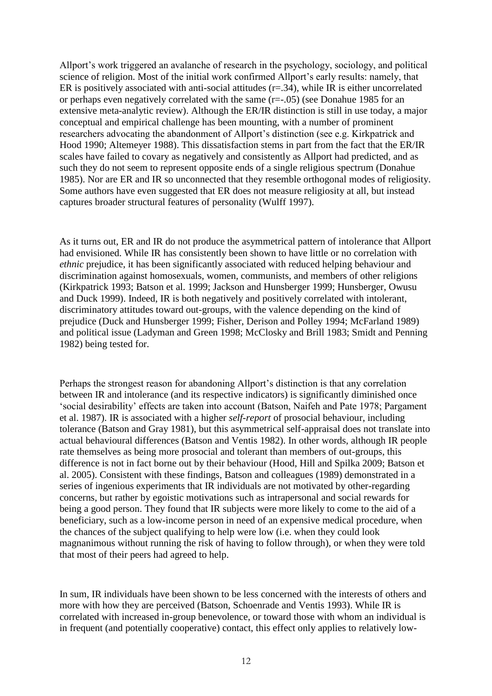Allport's work triggered an avalanche of research in the psychology, sociology, and political science of religion. Most of the initial work confirmed Allport's early results: namely, that ER is positively associated with anti-social attitudes  $(r=.34)$ , while IR is either uncorrelated or perhaps even negatively correlated with the same (r=-.05) (see Donahue 1985 for an extensive meta-analytic review). Although the ER/IR distinction is still in use today, a major conceptual and empirical challenge has been mounting, with a number of prominent researchers advocating the abandonment of Allport's distinction (see e.g. Kirkpatrick and Hood 1990; Altemeyer 1988). This dissatisfaction stems in part from the fact that the ER/IR scales have failed to covary as negatively and consistently as Allport had predicted, and as such they do not seem to represent opposite ends of a single religious spectrum (Donahue 1985). Nor are ER and IR so unconnected that they resemble orthogonal modes of religiosity. Some authors have even suggested that ER does not measure religiosity at all, but instead captures broader structural features of personality (Wulff 1997).

As it turns out, ER and IR do not produce the asymmetrical pattern of intolerance that Allport had envisioned. While IR has consistently been shown to have little or no correlation with *ethnic* prejudice, it has been significantly associated with reduced helping behaviour and discrimination against homosexuals, women, communists, and members of other religions (Kirkpatrick 1993; Batson et al. 1999; Jackson and Hunsberger 1999; Hunsberger, Owusu and Duck 1999). Indeed, IR is both negatively and positively correlated with intolerant, discriminatory attitudes toward out-groups, with the valence depending on the kind of prejudice (Duck and Hunsberger 1999; Fisher, Derison and Polley 1994; McFarland 1989) and political issue (Ladyman and Green 1998; McClosky and Brill 1983; Smidt and Penning 1982) being tested for.

Perhaps the strongest reason for abandoning Allport's distinction is that any correlation between IR and intolerance (and its respective indicators) is significantly diminished once ‗social desirability' effects are taken into account (Batson, Naifeh and Pate 1978; Pargament et al. 1987). IR is associated with a higher *self-report* of prosocial behaviour, including tolerance (Batson and Gray 1981), but this asymmetrical self-appraisal does not translate into actual behavioural differences (Batson and Ventis 1982). In other words, although IR people rate themselves as being more prosocial and tolerant than members of out-groups, this difference is not in fact borne out by their behaviour (Hood, Hill and Spilka 2009; Batson et al. 2005). Consistent with these findings, Batson and colleagues (1989) demonstrated in a series of ingenious experiments that IR individuals are not motivated by other-regarding concerns, but rather by egoistic motivations such as intrapersonal and social rewards for being a good person. They found that IR subjects were more likely to come to the aid of a beneficiary, such as a low-income person in need of an expensive medical procedure, when the chances of the subject qualifying to help were low (i.e. when they could look magnanimous without running the risk of having to follow through), or when they were told that most of their peers had agreed to help.

In sum, IR individuals have been shown to be less concerned with the interests of others and more with how they are perceived (Batson, Schoenrade and Ventis 1993). While IR is correlated with increased in-group benevolence, or toward those with whom an individual is in frequent (and potentially cooperative) contact, this effect only applies to relatively low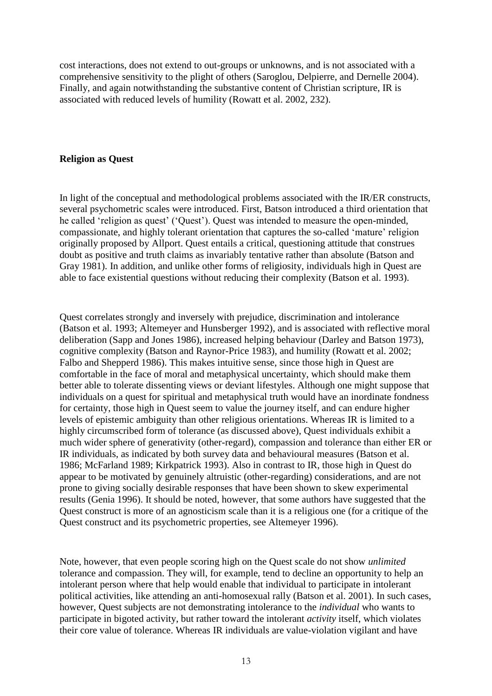cost interactions, does not extend to out-groups or unknowns, and is not associated with a comprehensive sensitivity to the plight of others (Saroglou, Delpierre, and Dernelle 2004). Finally, and again notwithstanding the substantive content of Christian scripture, IR is associated with reduced levels of humility (Rowatt et al. 2002, 232).

### **Religion as Quest**

In light of the conceptual and methodological problems associated with the IR/ER constructs, several psychometric scales were introduced. First, Batson introduced a third orientation that he called 'religion as quest' ('Quest'). Quest was intended to measure the open-minded, compassionate, and highly tolerant orientation that captures the so-called ‗mature' religion originally proposed by Allport. Quest entails a critical, questioning attitude that construes doubt as positive and truth claims as invariably tentative rather than absolute (Batson and Gray 1981). In addition, and unlike other forms of religiosity, individuals high in Quest are able to face existential questions without reducing their complexity (Batson et al. 1993).

Quest correlates strongly and inversely with prejudice, discrimination and intolerance (Batson et al. 1993; Altemeyer and Hunsberger 1992), and is associated with reflective moral deliberation (Sapp and Jones 1986), increased helping behaviour (Darley and Batson 1973), cognitive complexity (Batson and Raynor-Price 1983), and humility (Rowatt et al. 2002; Falbo and Shepperd 1986). This makes intuitive sense, since those high in Quest are comfortable in the face of moral and metaphysical uncertainty, which should make them better able to tolerate dissenting views or deviant lifestyles. Although one might suppose that individuals on a quest for spiritual and metaphysical truth would have an inordinate fondness for certainty, those high in Quest seem to value the journey itself, and can endure higher levels of epistemic ambiguity than other religious orientations. Whereas IR is limited to a highly circumscribed form of tolerance (as discussed above), Quest individuals exhibit a much wider sphere of generativity (other-regard), compassion and tolerance than either ER or IR individuals, as indicated by both survey data and behavioural measures (Batson et al. 1986; McFarland 1989; Kirkpatrick 1993). Also in contrast to IR, those high in Quest do appear to be motivated by genuinely altruistic (other-regarding) considerations, and are not prone to giving socially desirable responses that have been shown to skew experimental results (Genia 1996). It should be noted, however, that some authors have suggested that the Quest construct is more of an agnosticism scale than it is a religious one (for a critique of the Quest construct and its psychometric properties, see Altemeyer 1996).

Note, however, that even people scoring high on the Quest scale do not show *unlimited* tolerance and compassion. They will, for example, tend to decline an opportunity to help an intolerant person where that help would enable that individual to participate in intolerant political activities, like attending an anti-homosexual rally (Batson et al. 2001). In such cases, however, Quest subjects are not demonstrating intolerance to the *individual* who wants to participate in bigoted activity, but rather toward the intolerant *activity* itself, which violates their core value of tolerance. Whereas IR individuals are value-violation vigilant and have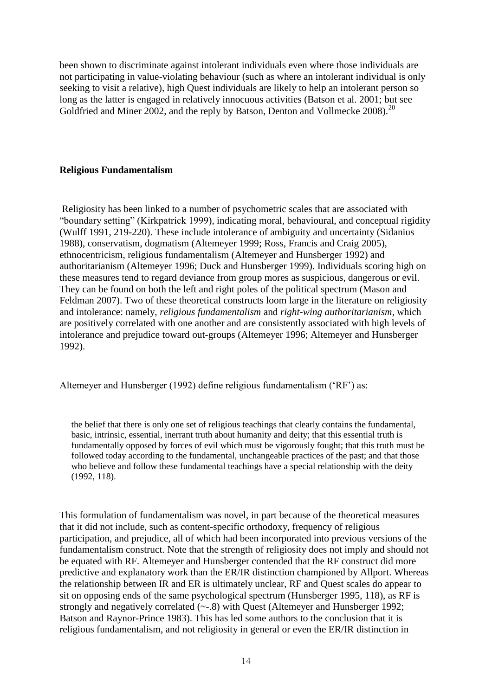been shown to discriminate against intolerant individuals even where those individuals are not participating in value-violating behaviour (such as where an intolerant individual is only seeking to visit a relative), high Quest individuals are likely to help an intolerant person so long as the latter is engaged in relatively innocuous activities (Batson et al. 2001; but see Goldfried and Miner 2002, and the reply by Batson, Denton and Vollmecke 2008).<sup>20</sup>

## **Religious Fundamentalism**

Religiosity has been linked to a number of psychometric scales that are associated with "boundary setting" (Kirkpatrick 1999), indicating moral, behavioural, and conceptual rigidity (Wulff 1991, 219-220). These include intolerance of ambiguity and uncertainty (Sidanius 1988), conservatism, dogmatism (Altemeyer 1999; Ross, Francis and Craig 2005), ethnocentricism, religious fundamentalism (Altemeyer and Hunsberger 1992) and authoritarianism (Altemeyer 1996; Duck and Hunsberger 1999). Individuals scoring high on these measures tend to regard deviance from group mores as suspicious, dangerous or evil. They can be found on both the left and right poles of the political spectrum (Mason and Feldman 2007). Two of these theoretical constructs loom large in the literature on religiosity and intolerance: namely, *religious fundamentalism* and *right-wing authoritarianism*, which are positively correlated with one another and are consistently associated with high levels of intolerance and prejudice toward out-groups (Altemeyer 1996; Altemeyer and Hunsberger 1992).

Altemeyer and Hunsberger (1992) define religious fundamentalism ('RF') as:

the belief that there is only one set of religious teachings that clearly contains the fundamental, basic, intrinsic, essential, inerrant truth about humanity and deity; that this essential truth is fundamentally opposed by forces of evil which must be vigorously fought; that this truth must be followed today according to the fundamental, unchangeable practices of the past; and that those who believe and follow these fundamental teachings have a special relationship with the deity (1992, 118).

This formulation of fundamentalism was novel, in part because of the theoretical measures that it did not include, such as content-specific orthodoxy, frequency of religious participation, and prejudice, all of which had been incorporated into previous versions of the fundamentalism construct. Note that the strength of religiosity does not imply and should not be equated with RF. Altemeyer and Hunsberger contended that the RF construct did more predictive and explanatory work than the ER/IR distinction championed by Allport. Whereas the relationship between IR and ER is ultimately unclear, RF and Quest scales do appear to sit on opposing ends of the same psychological spectrum (Hunsberger 1995, 118), as RF is strongly and negatively correlated (~-.8) with Quest (Altemeyer and Hunsberger 1992; Batson and Raynor-Prince 1983). This has led some authors to the conclusion that it is religious fundamentalism, and not religiosity in general or even the ER/IR distinction in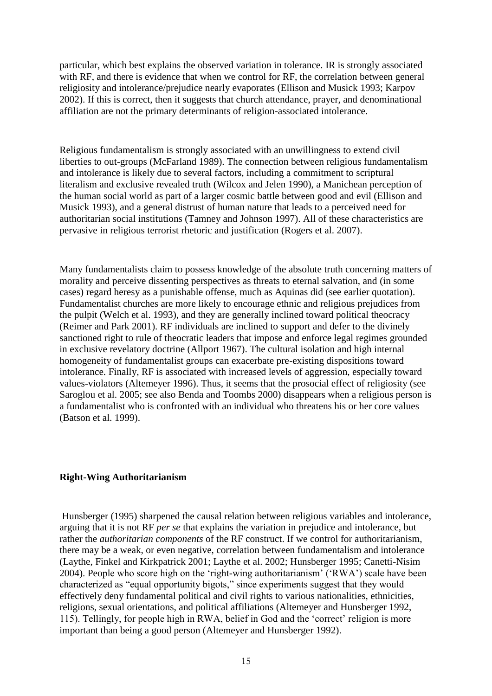particular, which best explains the observed variation in tolerance. IR is strongly associated with RF, and there is evidence that when we control for RF, the correlation between general religiosity and intolerance/prejudice nearly evaporates (Ellison and Musick 1993; Karpov 2002). If this is correct, then it suggests that church attendance, prayer, and denominational affiliation are not the primary determinants of religion-associated intolerance.

Religious fundamentalism is strongly associated with an unwillingness to extend civil liberties to out-groups (McFarland 1989). The connection between religious fundamentalism and intolerance is likely due to several factors, including a commitment to scriptural literalism and exclusive revealed truth (Wilcox and Jelen 1990), a Manichean perception of the human social world as part of a larger cosmic battle between good and evil (Ellison and Musick 1993), and a general distrust of human nature that leads to a perceived need for authoritarian social institutions (Tamney and Johnson 1997). All of these characteristics are pervasive in religious terrorist rhetoric and justification (Rogers et al. 2007).

Many fundamentalists claim to possess knowledge of the absolute truth concerning matters of morality and perceive dissenting perspectives as threats to eternal salvation, and (in some cases) regard heresy as a punishable offense, much as Aquinas did (see earlier quotation). Fundamentalist churches are more likely to encourage ethnic and religious prejudices from the pulpit (Welch et al. 1993), and they are generally inclined toward political theocracy (Reimer and Park 2001). RF individuals are inclined to support and defer to the divinely sanctioned right to rule of theocratic leaders that impose and enforce legal regimes grounded in exclusive revelatory doctrine (Allport 1967). The cultural isolation and high internal homogeneity of fundamentalist groups can exacerbate pre-existing dispositions toward intolerance. Finally, RF is associated with increased levels of aggression, especially toward values-violators (Altemeyer 1996). Thus, it seems that the prosocial effect of religiosity (see Saroglou et al. 2005; see also Benda and Toombs 2000) disappears when a religious person is a fundamentalist who is confronted with an individual who threatens his or her core values (Batson et al. 1999).

### **Right-Wing Authoritarianism**

Hunsberger (1995) sharpened the causal relation between religious variables and intolerance, arguing that it is not RF *per se* that explains the variation in prejudice and intolerance, but rather the *authoritarian components* of the RF construct. If we control for authoritarianism, there may be a weak, or even negative, correlation between fundamentalism and intolerance (Laythe, Finkel and Kirkpatrick 2001; Laythe et al. 2002; Hunsberger 1995; Canetti-Nisim 2004). People who score high on the 'right-wing authoritarianism' ('RWA') scale have been characterized as "equal opportunity bigots," since experiments suggest that they would effectively deny fundamental political and civil rights to various nationalities, ethnicities, religions, sexual orientations, and political affiliations (Altemeyer and Hunsberger 1992, 115). Tellingly, for people high in RWA, belief in God and the ‗correct' religion is more important than being a good person (Altemeyer and Hunsberger 1992).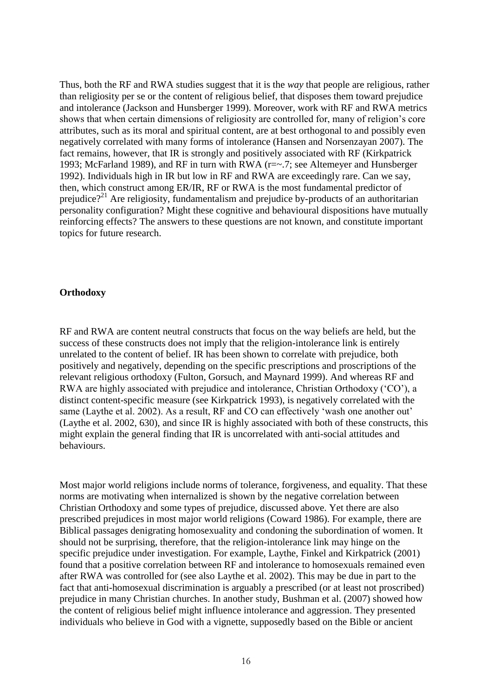Thus, both the RF and RWA studies suggest that it is the *way* that people are religious, rather than religiosity per se or the content of religious belief, that disposes them toward prejudice and intolerance (Jackson and Hunsberger 1999). Moreover, work with RF and RWA metrics shows that when certain dimensions of religiosity are controlled for, many of religion's core attributes, such as its moral and spiritual content, are at best orthogonal to and possibly even negatively correlated with many forms of intolerance (Hansen and Norsenzayan 2007). The fact remains, however, that IR is strongly and positively associated with RF (Kirkpatrick 1993; McFarland 1989), and RF in turn with RWA (r=~.7; see Altemeyer and Hunsberger 1992). Individuals high in IR but low in RF and RWA are exceedingly rare. Can we say, then, which construct among ER/IR, RF or RWA is the most fundamental predictor of prejudice?<sup>21</sup> Are religiosity, fundamentalism and prejudice by-products of an authoritarian personality configuration? Might these cognitive and behavioural dispositions have mutually reinforcing effects? The answers to these questions are not known, and constitute important topics for future research.

#### **Orthodoxy**

RF and RWA are content neutral constructs that focus on the way beliefs are held, but the success of these constructs does not imply that the religion-intolerance link is entirely unrelated to the content of belief. IR has been shown to correlate with prejudice, both positively and negatively, depending on the specific prescriptions and proscriptions of the relevant religious orthodoxy (Fulton, Gorsuch, and Maynard 1999). And whereas RF and RWA are highly associated with prejudice and intolerance, Christian Orthodoxy ('CO'), a distinct content-specific measure (see Kirkpatrick 1993), is negatively correlated with the same (Laythe et al. 2002). As a result, RF and CO can effectively 'wash one another out' (Laythe et al. 2002, 630), and since IR is highly associated with both of these constructs, this might explain the general finding that IR is uncorrelated with anti-social attitudes and behaviours.

Most major world religions include norms of tolerance, forgiveness, and equality. That these norms are motivating when internalized is shown by the negative correlation between Christian Orthodoxy and some types of prejudice, discussed above. Yet there are also prescribed prejudices in most major world religions (Coward 1986). For example, there are Biblical passages denigrating homosexuality and condoning the subordination of women. It should not be surprising, therefore, that the religion-intolerance link may hinge on the specific prejudice under investigation. For example, Laythe, Finkel and Kirkpatrick (2001) found that a positive correlation between RF and intolerance to homosexuals remained even after RWA was controlled for (see also Laythe et al. 2002). This may be due in part to the fact that anti-homosexual discrimination is arguably a prescribed (or at least not proscribed) prejudice in many Christian churches. In another study, Bushman et al. (2007) showed how the content of religious belief might influence intolerance and aggression. They presented individuals who believe in God with a vignette, supposedly based on the Bible or ancient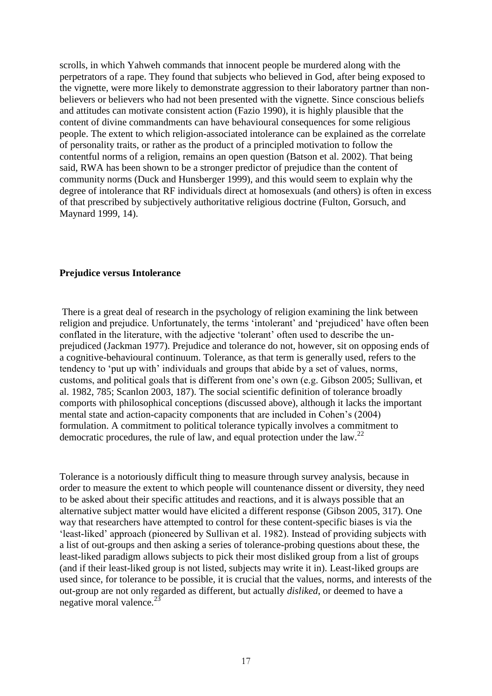scrolls, in which Yahweh commands that innocent people be murdered along with the perpetrators of a rape. They found that subjects who believed in God, after being exposed to the vignette, were more likely to demonstrate aggression to their laboratory partner than nonbelievers or believers who had not been presented with the vignette. Since conscious beliefs and attitudes can motivate consistent action (Fazio 1990), it is highly plausible that the content of divine commandments can have behavioural consequences for some religious people. The extent to which religion-associated intolerance can be explained as the correlate of personality traits, or rather as the product of a principled motivation to follow the contentful norms of a religion, remains an open question (Batson et al. 2002). That being said, RWA has been shown to be a stronger predictor of prejudice than the content of community norms (Duck and Hunsberger 1999), and this would seem to explain why the degree of intolerance that RF individuals direct at homosexuals (and others) is often in excess of that prescribed by subjectively authoritative religious doctrine (Fulton, Gorsuch, and Maynard 1999, 14).

#### **Prejudice versus Intolerance**

There is a great deal of research in the psychology of religion examining the link between religion and prejudice. Unfortunately, the terms 'intolerant' and 'prejudiced' have often been conflated in the literature, with the adjective 'tolerant' often used to describe the unprejudiced (Jackman 1977). Prejudice and tolerance do not, however, sit on opposing ends of a cognitive-behavioural continuum. Tolerance, as that term is generally used, refers to the tendency to 'put up with' individuals and groups that abide by a set of values, norms, customs, and political goals that is different from one's own (e.g. Gibson 2005; Sullivan, et al. 1982, 785; Scanlon 2003, 187). The social scientific definition of tolerance broadly comports with philosophical conceptions (discussed above), although it lacks the important mental state and action-capacity components that are included in Cohen's (2004) formulation. A commitment to political tolerance typically involves a commitment to democratic procedures, the rule of law, and equal protection under the law.<sup>22</sup>

Tolerance is a notoriously difficult thing to measure through survey analysis, because in order to measure the extent to which people will countenance dissent or diversity, they need to be asked about their specific attitudes and reactions, and it is always possible that an alternative subject matter would have elicited a different response (Gibson 2005, 317). One way that researchers have attempted to control for these content-specific biases is via the 'least-liked' approach (pioneered by Sullivan et al. 1982). Instead of providing subjects with a list of out-groups and then asking a series of tolerance-probing questions about these, the least-liked paradigm allows subjects to pick their most disliked group from a list of groups (and if their least-liked group is not listed, subjects may write it in). Least-liked groups are used since, for tolerance to be possible, it is crucial that the values, norms, and interests of the out-group are not only regarded as different, but actually *disliked*, or deemed to have a negative moral valence. $^{23}$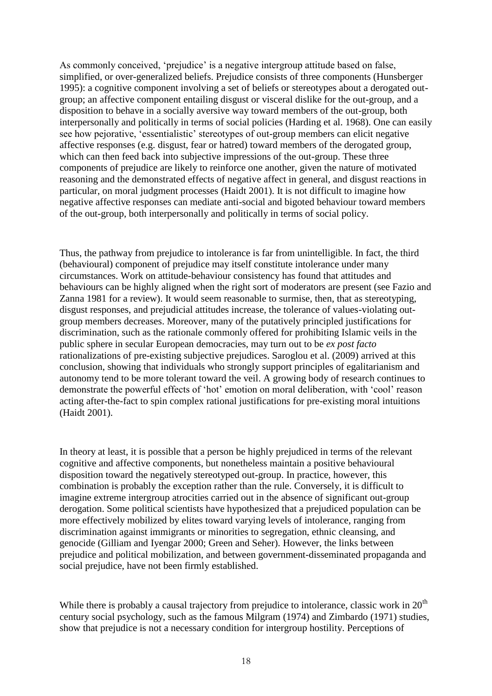As commonly conceived, 'prejudice' is a negative intergroup attitude based on false, simplified, or over-generalized beliefs. Prejudice consists of three components (Hunsberger 1995): a cognitive component involving a set of beliefs or stereotypes about a derogated outgroup; an affective component entailing disgust or visceral dislike for the out-group, and a disposition to behave in a socially aversive way toward members of the out-group, both interpersonally and politically in terms of social policies (Harding et al. 1968). One can easily see how pejorative, 'essentialistic' stereotypes of out-group members can elicit negative affective responses (e.g. disgust, fear or hatred) toward members of the derogated group, which can then feed back into subjective impressions of the out-group. These three components of prejudice are likely to reinforce one another, given the nature of motivated reasoning and the demonstrated effects of negative affect in general, and disgust reactions in particular, on moral judgment processes (Haidt 2001). It is not difficult to imagine how negative affective responses can mediate anti-social and bigoted behaviour toward members of the out-group, both interpersonally and politically in terms of social policy.

Thus, the pathway from prejudice to intolerance is far from unintelligible. In fact, the third (behavioural) component of prejudice may itself constitute intolerance under many circumstances. Work on attitude-behaviour consistency has found that attitudes and behaviours can be highly aligned when the right sort of moderators are present (see Fazio and Zanna 1981 for a review). It would seem reasonable to surmise, then, that as stereotyping, disgust responses, and prejudicial attitudes increase, the tolerance of values-violating outgroup members decreases. Moreover, many of the putatively principled justifications for discrimination, such as the rationale commonly offered for prohibiting Islamic veils in the public sphere in secular European democracies, may turn out to be *ex post facto*  rationalizations of pre-existing subjective prejudices. Saroglou et al. (2009) arrived at this conclusion, showing that individuals who strongly support principles of egalitarianism and autonomy tend to be more tolerant toward the veil. A growing body of research continues to demonstrate the powerful effects of 'hot' emotion on moral deliberation, with 'cool' reason acting after-the-fact to spin complex rational justifications for pre-existing moral intuitions (Haidt 2001).

In theory at least, it is possible that a person be highly prejudiced in terms of the relevant cognitive and affective components, but nonetheless maintain a positive behavioural disposition toward the negatively stereotyped out-group. In practice, however, this combination is probably the exception rather than the rule. Conversely, it is difficult to imagine extreme intergroup atrocities carried out in the absence of significant out-group derogation. Some political scientists have hypothesized that a prejudiced population can be more effectively mobilized by elites toward varying levels of intolerance, ranging from discrimination against immigrants or minorities to segregation, ethnic cleansing, and genocide (Gilliam and Iyengar 2000; Green and Seher). However, the links between prejudice and political mobilization, and between government-disseminated propaganda and social prejudice, have not been firmly established.

While there is probably a causal trajectory from prejudice to intolerance, classic work in  $20<sup>th</sup>$ century social psychology, such as the famous Milgram (1974) and Zimbardo (1971) studies, show that prejudice is not a necessary condition for intergroup hostility. Perceptions of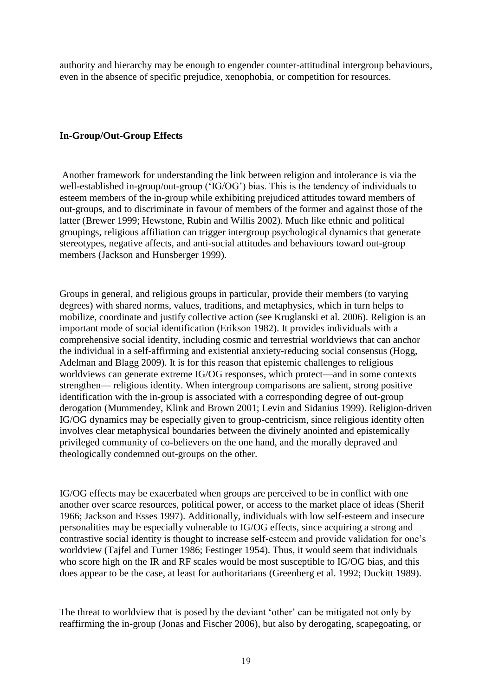authority and hierarchy may be enough to engender counter-attitudinal intergroup behaviours, even in the absence of specific prejudice, xenophobia, or competition for resources.

## **In-Group/Out-Group Effects**

Another framework for understanding the link between religion and intolerance is via the well-established in-group/out-group ('IG/OG') bias. This is the tendency of individuals to esteem members of the in-group while exhibiting prejudiced attitudes toward members of out-groups, and to discriminate in favour of members of the former and against those of the latter (Brewer 1999; Hewstone, Rubin and Willis 2002). Much like ethnic and political groupings, religious affiliation can trigger intergroup psychological dynamics that generate stereotypes, negative affects, and anti-social attitudes and behaviours toward out-group members (Jackson and Hunsberger 1999).

Groups in general, and religious groups in particular, provide their members (to varying degrees) with shared norms, values, traditions, and metaphysics, which in turn helps to mobilize, coordinate and justify collective action (see Kruglanski et al. 2006). Religion is an important mode of social identification (Erikson 1982). It provides individuals with a comprehensive social identity, including cosmic and terrestrial worldviews that can anchor the individual in a self-affirming and existential anxiety-reducing social consensus (Hogg, Adelman and Blagg 2009). It is for this reason that epistemic challenges to religious worldviews can generate extreme IG/OG responses, which protect—and in some contexts strengthen— religious identity. When intergroup comparisons are salient, strong positive identification with the in-group is associated with a corresponding degree of out-group derogation (Mummendey, Klink and Brown 2001; Levin and Sidanius 1999). Religion-driven IG/OG dynamics may be especially given to group-centricism, since religious identity often involves clear metaphysical boundaries between the divinely anointed and epistemically privileged community of co-believers on the one hand, and the morally depraved and theologically condemned out-groups on the other.

IG/OG effects may be exacerbated when groups are perceived to be in conflict with one another over scarce resources, political power, or access to the market place of ideas (Sherif 1966; Jackson and Esses 1997). Additionally, individuals with low self-esteem and insecure personalities may be especially vulnerable to IG/OG effects, since acquiring a strong and contrastive social identity is thought to increase self-esteem and provide validation for one's worldview (Tajfel and Turner 1986; Festinger 1954). Thus, it would seem that individuals who score high on the IR and RF scales would be most susceptible to IG/OG bias, and this does appear to be the case, at least for authoritarians (Greenberg et al. 1992; Duckitt 1989).

The threat to worldview that is posed by the deviant 'other' can be mitigated not only by reaffirming the in-group (Jonas and Fischer 2006), but also by derogating, scapegoating, or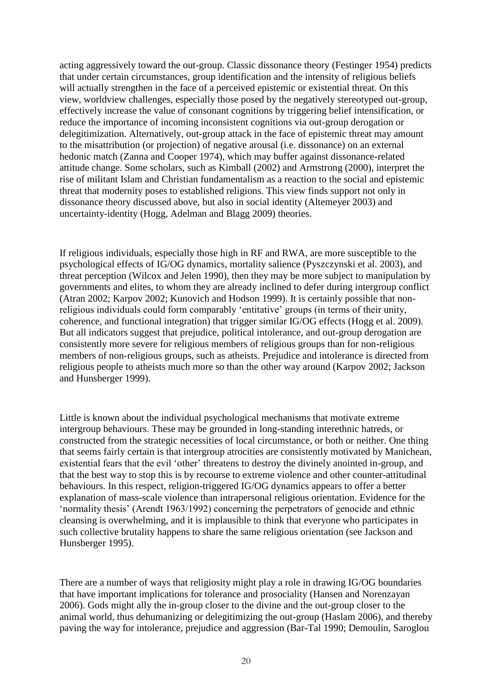acting aggressively toward the out-group. Classic dissonance theory (Festinger 1954) predicts that under certain circumstances, group identification and the intensity of religious beliefs will actually strengthen in the face of a perceived epistemic or existential threat. On this view, worldview challenges, especially those posed by the negatively stereotyped out-group, effectively increase the value of consonant cognitions by triggering belief intensification, or reduce the importance of incoming inconsistent cognitions via out-group derogation or delegitimization. Alternatively, out-group attack in the face of epistemic threat may amount to the misattribution (or projection) of negative arousal (i.e. dissonance) on an external hedonic match (Zanna and Cooper 1974), which may buffer against dissonance-related attitude change. Some scholars, such as Kimball (2002) and Armstrong (2000), interpret the rise of militant Islam and Christian fundamentalism as a reaction to the social and epistemic threat that modernity poses to established religions. This view finds support not only in dissonance theory discussed above, but also in social identity (Altemeyer 2003) and uncertainty-identity (Hogg, Adelman and Blagg 2009) theories.

If religious individuals, especially those high in RF and RWA, are more susceptible to the psychological effects of IG/OG dynamics, mortality salience (Pyszczynski et al. 2003), and threat perception (Wilcox and Jelen 1990), then they may be more subject to manipulation by governments and elites, to whom they are already inclined to defer during intergroup conflict (Atran 2002; Karpov 2002; Kunovich and Hodson 1999). It is certainly possible that nonreligious individuals could form comparably 'entitative' groups (in terms of their unity, coherence, and functional integration) that trigger similar IG/OG effects (Hogg et al. 2009). But all indicators suggest that prejudice, political intolerance, and out-group derogation are consistently more severe for religious members of religious groups than for non-religious members of non-religious groups, such as atheists. Prejudice and intolerance is directed from religious people to atheists much more so than the other way around (Karpov 2002; Jackson and Hunsberger 1999).

Little is known about the individual psychological mechanisms that motivate extreme intergroup behaviours. These may be grounded in long-standing interethnic hatreds, or constructed from the strategic necessities of local circumstance, or both or neither. One thing that seems fairly certain is that intergroup atrocities are consistently motivated by Manichean, existential fears that the evil 'other' threatens to destroy the divinely anointed in-group, and that the best way to stop this is by recourse to extreme violence and other counter-attitudinal behaviours. In this respect, religion-triggered IG/OG dynamics appears to offer a better explanation of mass-scale violence than intrapersonal religious orientation. Evidence for the ‗normality thesis' (Arendt 1963/1992) concerning the perpetrators of genocide and ethnic cleansing is overwhelming, and it is implausible to think that everyone who participates in such collective brutality happens to share the same religious orientation (see Jackson and Hunsberger 1995).

There are a number of ways that religiosity might play a role in drawing IG/OG boundaries that have important implications for tolerance and prosociality (Hansen and Norenzayan 2006). Gods might ally the in-group closer to the divine and the out-group closer to the animal world, thus dehumanizing or delegitimizing the out-group (Haslam 2006), and thereby paving the way for intolerance, prejudice and aggression (Bar-Tal 1990; Demoulin, Saroglou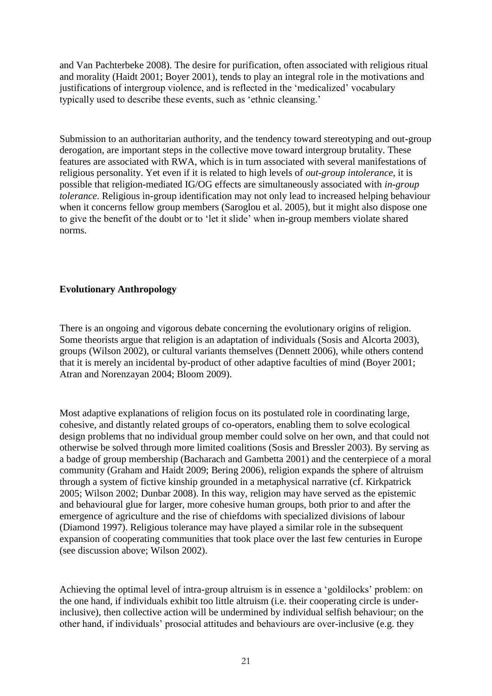and Van Pachterbeke 2008). The desire for purification, often associated with religious ritual and morality (Haidt 2001; Boyer 2001), tends to play an integral role in the motivations and justifications of intergroup violence, and is reflected in the 'medicalized' vocabulary typically used to describe these events, such as 'ethnic cleansing.'

Submission to an authoritarian authority, and the tendency toward stereotyping and out-group derogation, are important steps in the collective move toward intergroup brutality. These features are associated with RWA, which is in turn associated with several manifestations of religious personality. Yet even if it is related to high levels of *out-group intolerance*, it is possible that religion-mediated IG/OG effects are simultaneously associated with *in-group tolerance*. Religious in-group identification may not only lead to increased helping behaviour when it concerns fellow group members (Saroglou et al. 2005), but it might also dispose one to give the benefit of the doubt or to 'let it slide' when in-group members violate shared norms.

# **Evolutionary Anthropology**

There is an ongoing and vigorous debate concerning the evolutionary origins of religion. Some theorists argue that religion is an adaptation of individuals (Sosis and Alcorta 2003), groups (Wilson 2002), or cultural variants themselves (Dennett 2006), while others contend that it is merely an incidental by-product of other adaptive faculties of mind (Boyer 2001; Atran and Norenzayan 2004; Bloom 2009).

Most adaptive explanations of religion focus on its postulated role in coordinating large, cohesive, and distantly related groups of co-operators, enabling them to solve ecological design problems that no individual group member could solve on her own, and that could not otherwise be solved through more limited coalitions (Sosis and Bressler 2003). By serving as a badge of group membership (Bacharach and Gambetta 2001) and the centerpiece of a moral community (Graham and Haidt 2009; Bering 2006), religion expands the sphere of altruism through a system of fictive kinship grounded in a metaphysical narrative (cf. Kirkpatrick 2005; Wilson 2002; Dunbar 2008). In this way, religion may have served as the epistemic and behavioural glue for larger, more cohesive human groups, both prior to and after the emergence of agriculture and the rise of chiefdoms with specialized divisions of labour (Diamond 1997). Religious tolerance may have played a similar role in the subsequent expansion of cooperating communities that took place over the last few centuries in Europe (see discussion above; Wilson 2002).

Achieving the optimal level of intra-group altruism is in essence a 'goldilocks' problem: on the one hand, if individuals exhibit too little altruism (i.e. their cooperating circle is underinclusive), then collective action will be undermined by individual selfish behaviour; on the other hand, if individuals' prosocial attitudes and behaviours are over-inclusive (e.g. they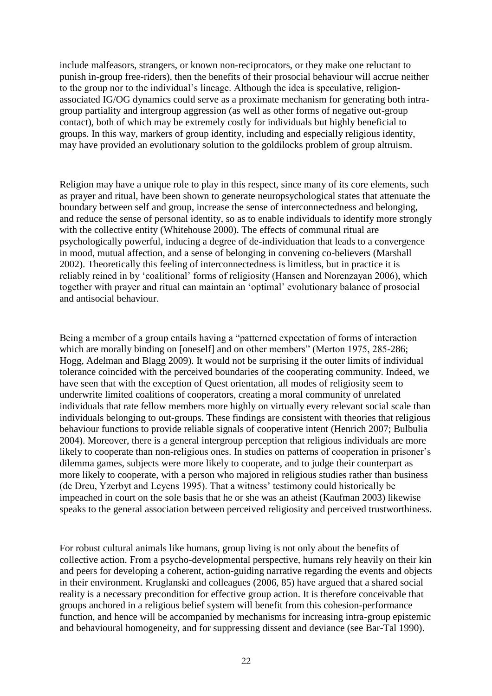include malfeasors, strangers, or known non-reciprocators, or they make one reluctant to punish in-group free-riders), then the benefits of their prosocial behaviour will accrue neither to the group nor to the individual's lineage. Although the idea is speculative, religionassociated IG/OG dynamics could serve as a proximate mechanism for generating both intragroup partiality and intergroup aggression (as well as other forms of negative out-group contact), both of which may be extremely costly for individuals but highly beneficial to groups. In this way, markers of group identity, including and especially religious identity, may have provided an evolutionary solution to the goldilocks problem of group altruism.

Religion may have a unique role to play in this respect, since many of its core elements, such as prayer and ritual, have been shown to generate neuropsychological states that attenuate the boundary between self and group, increase the sense of interconnectedness and belonging, and reduce the sense of personal identity, so as to enable individuals to identify more strongly with the collective entity (Whitehouse 2000). The effects of communal ritual are psychologically powerful, inducing a degree of de-individuation that leads to a convergence in mood, mutual affection, and a sense of belonging in convening co-believers (Marshall 2002). Theoretically this feeling of interconnectedness is limitless, but in practice it is reliably reined in by 'coalitional' forms of religiosity (Hansen and Norenzayan 2006), which together with prayer and ritual can maintain an 'optimal' evolutionary balance of prosocial and antisocial behaviour.

Being a member of a group entails having a "patterned expectation of forms of interaction which are morally binding on [oneself] and on other members" (Merton 1975, 285-286; Hogg, Adelman and Blagg 2009). It would not be surprising if the outer limits of individual tolerance coincided with the perceived boundaries of the cooperating community. Indeed, we have seen that with the exception of Quest orientation, all modes of religiosity seem to underwrite limited coalitions of cooperators, creating a moral community of unrelated individuals that rate fellow members more highly on virtually every relevant social scale than individuals belonging to out-groups. These findings are consistent with theories that religious behaviour functions to provide reliable signals of cooperative intent (Henrich 2007; Bulbulia 2004). Moreover, there is a general intergroup perception that religious individuals are more likely to cooperate than non-religious ones. In studies on patterns of cooperation in prisoner's dilemma games, subjects were more likely to cooperate, and to judge their counterpart as more likely to cooperate, with a person who majored in religious studies rather than business (de Dreu, Yzerbyt and Leyens 1995). That a witness' testimony could historically be impeached in court on the sole basis that he or she was an atheist (Kaufman 2003) likewise speaks to the general association between perceived religiosity and perceived trustworthiness.

For robust cultural animals like humans, group living is not only about the benefits of collective action. From a psycho-developmental perspective, humans rely heavily on their kin and peers for developing a coherent, action-guiding narrative regarding the events and objects in their environment. Kruglanski and colleagues (2006, 85) have argued that a shared social reality is a necessary precondition for effective group action. It is therefore conceivable that groups anchored in a religious belief system will benefit from this cohesion-performance function, and hence will be accompanied by mechanisms for increasing intra-group epistemic and behavioural homogeneity, and for suppressing dissent and deviance (see Bar-Tal 1990).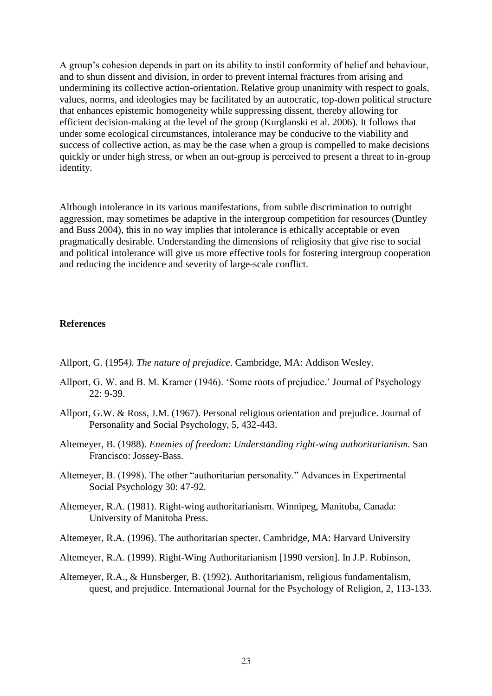A group's cohesion depends in part on its ability to instil conformity of belief and behaviour, and to shun dissent and division, in order to prevent internal fractures from arising and undermining its collective action-orientation. Relative group unanimity with respect to goals, values, norms, and ideologies may be facilitated by an autocratic, top-down political structure that enhances epistemic homogeneity while suppressing dissent, thereby allowing for efficient decision-making at the level of the group (Kurglanski et al. 2006). It follows that under some ecological circumstances, intolerance may be conducive to the viability and success of collective action, as may be the case when a group is compelled to make decisions quickly or under high stress, or when an out-group is perceived to present a threat to in-group identity.

Although intolerance in its various manifestations, from subtle discrimination to outright aggression, may sometimes be adaptive in the intergroup competition for resources (Duntley and Buss 2004), this in no way implies that intolerance is ethically acceptable or even pragmatically desirable. Understanding the dimensions of religiosity that give rise to social and political intolerance will give us more effective tools for fostering intergroup cooperation and reducing the incidence and severity of large-scale conflict.

## **References**

Allport, G. (1954*). The nature of prejudice*. Cambridge, MA: Addison Wesley.

- Allport, G. W. and B. M. Kramer (1946). 'Some roots of prejudice.' Journal of Psychology 22: 9-39.
- Allport, G.W. & Ross, J.M. (1967). Personal religious orientation and prejudice. Journal of Personality and Social Psychology, 5, 432-443.
- Altemeyer, B. (1988). *Enemies of freedom: Understanding right-wing authoritarianism.* San Francisco: Jossey-Bass.
- Altemeyer, B. (1998). The other "authoritarian personality." Advances in Experimental Social Psychology 30: 47-92.
- Altemeyer, R.A. (1981). Right-wing authoritarianism. Winnipeg, Manitoba, Canada: University of Manitoba Press.

Altemeyer, R.A. (1996). The authoritarian specter. Cambridge, MA: Harvard University

- Altemeyer, R.A. (1999). Right-Wing Authoritarianism [1990 version]. In J.P. Robinson,
- Altemeyer, R.A., & Hunsberger, B. (1992). Authoritarianism, religious fundamentalism, quest, and prejudice. International Journal for the Psychology of Religion, 2, 113-133.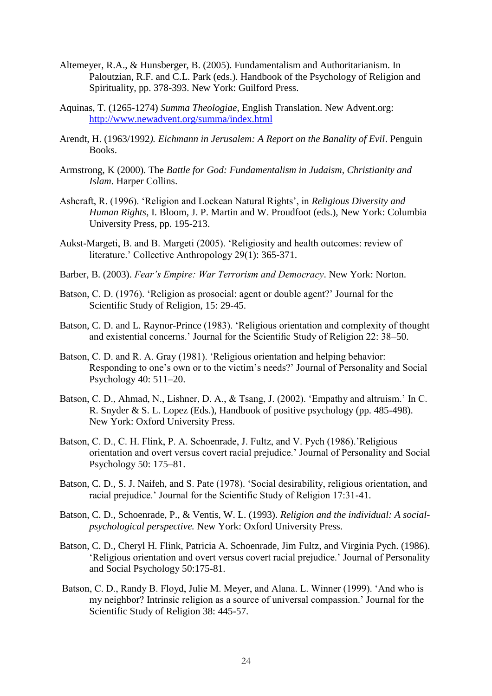- Altemeyer, R.A., & Hunsberger, B. (2005). Fundamentalism and Authoritarianism. In Paloutzian, R.F. and C.L. Park (eds.). Handbook of the Psychology of Religion and Spirituality, pp. 378-393. New York: Guilford Press.
- Aquinas, T. (1265-1274) *Summa Theologiae*, English Translation. New Advent.org: <http://www.newadvent.org/summa/index.html>
- Arendt, H. (1963/1992*). Eichmann in Jerusalem: A Report on the Banality of Evil*. Penguin Books.
- Armstrong, K (2000). The *Battle for God: Fundamentalism in Judaism, Christianity and Islam*. Harper Collins.
- Ashcraft, R. (1996). ‗Religion and Lockean Natural Rights', in *Religious Diversity and Human Rights*, I. Bloom, J. P. Martin and W. Proudfoot (eds.), New York: Columbia University Press, pp. 195-213.
- Aukst-Margeti, B. and B. Margeti (2005). 'Religiosity and health outcomes: review of literature.' Collective Anthropology 29(1): 365-371.
- Barber, B. (2003). *Fear's Empire: War Terrorism and Democracy*. New York: Norton.
- Batson, C. D. (1976). 'Religion as prosocial: agent or double agent?' Journal for the Scientific Study of Religion, 15: 29-45.
- Batson, C. D. and L. Raynor-Prince (1983). ‗Religious orientation and complexity of thought and existential concerns.' Journal for the Scientific Study of Religion 22: 38–50.
- Batson, C. D. and R. A. Gray (1981). 'Religious orientation and helping behavior: Responding to one's own or to the victim's needs?' Journal of Personality and Social Psychology 40: 511–20.
- Batson, C. D., Ahmad, N., Lishner, D. A., & Tsang, J. (2002). 'Empathy and altruism.' In C. R. Snyder & S. L. Lopez (Eds.), Handbook of positive psychology (pp. 485-498). New York: Oxford University Press.
- Batson, C. D., C. H. Flink, P. A. Schoenrade, J. Fultz, and V. Pych (1986).'Religious orientation and overt versus covert racial prejudice.' Journal of Personality and Social Psychology 50: 175–81.
- Batson, C. D., S. J. Naifeh, and S. Pate (1978). 'Social desirability, religious orientation, and racial prejudice.' Journal for the Scientific Study of Religion 17:31-41.
- Batson, C. D., Schoenrade, P., & Ventis, W. L. (1993). *Religion and the individual: A socialpsychological perspective.* New York: Oxford University Press.
- Batson, C. D., Cheryl H. Flink, Patricia A. Schoenrade, Jim Fultz, and Virginia Pych. (1986). ‗Religious orientation and overt versus covert racial prejudice.' Journal of Personality and Social Psychology 50:175-81.
- Batson, C. D., Randy B. Floyd, Julie M. Meyer, and Alana. L. Winner (1999). 'And who is my neighbor? Intrinsic religion as a source of universal compassion.' Journal for the Scientific Study of Religion 38: 445-57.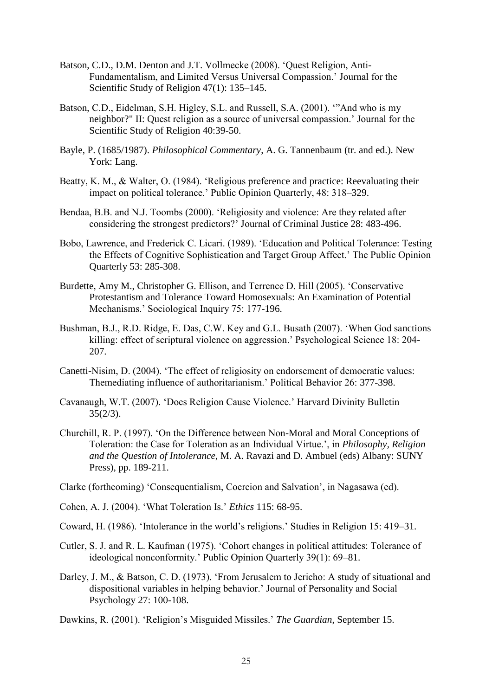- Batson, C.D., D.M. Denton and J.T. Vollmecke (2008). 'Quest Religion, Anti-Fundamentalism, and Limited Versus Universal Compassion.' Journal for the Scientific Study of Religion 47(1): 135–145.
- Batson, C.D., Eidelman, S.H. Higley, S.L. and Russell, S.A. (2001). "And who is my neighbor?" II: Quest religion as a source of universal compassion.' Journal for the Scientific Study of Religion 40:39-50.
- Bayle, P. (1685/1987). *Philosophical Commentary*, A. G. Tannenbaum (tr. and ed.). New York: Lang.
- Beatty, K. M., & Walter, O. (1984). 'Religious preference and practice: Reevaluating their impact on political tolerance.' Public Opinion Quarterly, 48: 318–329.
- Bendaa, B.B. and N.J. Toombs (2000). 'Religiosity and violence: Are they related after considering the strongest predictors?' Journal of Criminal Justice 28: 483-496.
- Bobo, Lawrence, and Frederick C. Licari. (1989). 'Education and Political Tolerance: Testing the Effects of Cognitive Sophistication and Target Group Affect.' The Public Opinion Quarterly 53: 285-308.
- Burdette, Amy M., Christopher G. Ellison, and Terrence D. Hill (2005). 'Conservative Protestantism and Tolerance Toward Homosexuals: An Examination of Potential Mechanisms.' Sociological Inquiry 75: 177-196.
- Bushman, B.J., R.D. Ridge, E. Das, C.W. Key and G.L. Busath (2007). 'When God sanctions killing: effect of scriptural violence on aggression.' Psychological Science 18: 204- 207.
- Canetti-Nisim, D. (2004). 'The effect of religiosity on endorsement of democratic values: Themediating influence of authoritarianism.' Political Behavior 26: 377-398.
- Cavanaugh, W.T. (2007). ‗Does Religion Cause Violence.' Harvard Divinity Bulletin  $35(2/3)$ .
- Churchill, R. P. (1997). ‗On the Difference between Non-Moral and Moral Conceptions of Toleration: the Case for Toleration as an Individual Virtue.', in *Philosophy, Religion and the Question of Intolerance*, M. A. Ravazi and D. Ambuel (eds) Albany: SUNY Press), pp. 189-211.
- Clarke (forthcoming) ‗Consequentialism, Coercion and Salvation', in Nagasawa (ed).
- Cohen, A. J. (2004). ‗What Toleration Is.' *Ethics* 115: 68-95.
- Coward, H. (1986). 'Intolerance in the world's religions.' Studies in Religion 15: 419–31.
- Cutler, S. J. and R. L. Kaufman (1975). ‗Cohort changes in political attitudes: Tolerance of ideological nonconformity.' Public Opinion Quarterly 39(1): 69–81.
- Darley, J. M., & Batson, C. D. (1973). 'From Jerusalem to Jericho: A study of situational and dispositional variables in helping behavior.' Journal of Personality and Social Psychology 27: 100-108.
- Dawkins, R. (2001). 'Religion's Misguided Missiles.' *The Guardian*, September 15.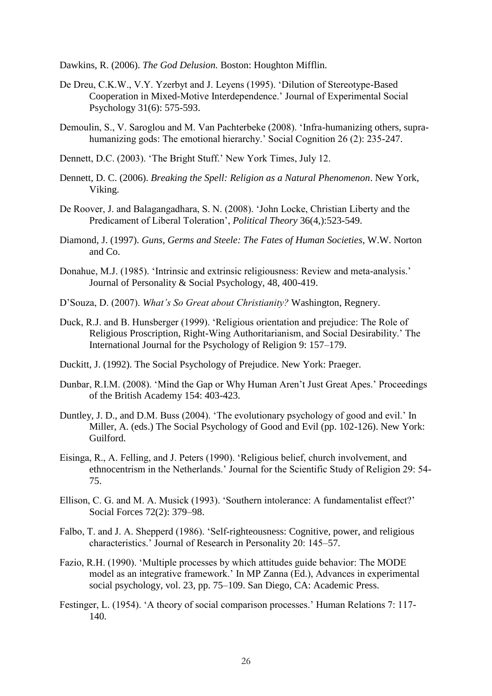Dawkins, R. (2006). *The God Delusion.* Boston: Houghton Mifflin.

- De Dreu, C.K.W., V.Y. Yzerbyt and J. Leyens (1995). 'Dilution of Stereotype-Based Cooperation in Mixed-Motive Interdependence.' Journal of Experimental Social Psychology 31(6): 575-593.
- Demoulin, S., V. Saroglou and M. Van Pachterbeke (2008). 'Infra-humanizing others, suprahumanizing gods: The emotional hierarchy.' Social Cognition 26 (2): 235-247.
- Dennett, D.C. (2003). 'The Bright Stuff.' New York Times, July 12.
- Dennett, D. C. (2006). *Breaking the Spell: Religion as a Natural Phenomenon*. New York, Viking.
- De Roover, J. and Balagangadhara, S. N. (2008). 'John Locke, Christian Liberty and the Predicament of Liberal Toleration', *Political Theory* 36(4,):523-549.
- Diamond, J. (1997). *Guns, Germs and Steele: The Fates of Human Societies*, W.W. Norton and Co.
- Donahue, M.J. (1985). 'Intrinsic and extrinsic religiousness: Review and meta-analysis.' Journal of Personality & Social Psychology, 48, 400-419.
- D'Souza, D. (2007). *What's So Great about Christianity?* Washington, Regnery.
- Duck, R.J. and B. Hunsberger (1999). 'Religious orientation and prejudice: The Role of Religious Proscription, Right-Wing Authoritarianism, and Social Desirability.' The International Journal for the Psychology of Religion 9: 157–179.
- Duckitt, J. (1992). The Social Psychology of Prejudice. New York: Praeger.
- Dunbar, R.I.M. (2008). 'Mind the Gap or Why Human Aren't Just Great Apes.' Proceedings of the British Academy 154: 403-423.
- Duntley, J. D., and D.M. Buss (2004). 'The evolutionary psychology of good and evil.' In Miller, A. (eds.) The Social Psychology of Good and Evil (pp. 102-126). New York: Guilford.
- Eisinga, R., A. Felling, and J. Peters (1990). ‗Religious belief, church involvement, and ethnocentrism in the Netherlands.' Journal for the Scientific Study of Religion 29: 54- 75.
- Ellison, C. G. and M. A. Musick (1993). 'Southern intolerance: A fundamentalist effect?' Social Forces 72(2): 379–98.
- Falbo, T. and J. A. Shepperd (1986). 'Self-righteousness: Cognitive, power, and religious characteristics.' Journal of Research in Personality 20: 145–57.
- Fazio, R.H. (1990). 'Multiple processes by which attitudes guide behavior: The MODE model as an integrative framework.' In MP Zanna (Ed.), Advances in experimental social psychology, vol. 23, pp. 75–109. San Diego, CA: Academic Press.
- Festinger, L. (1954). ‗A theory of social comparison processes.' Human Relations 7: 117- 140.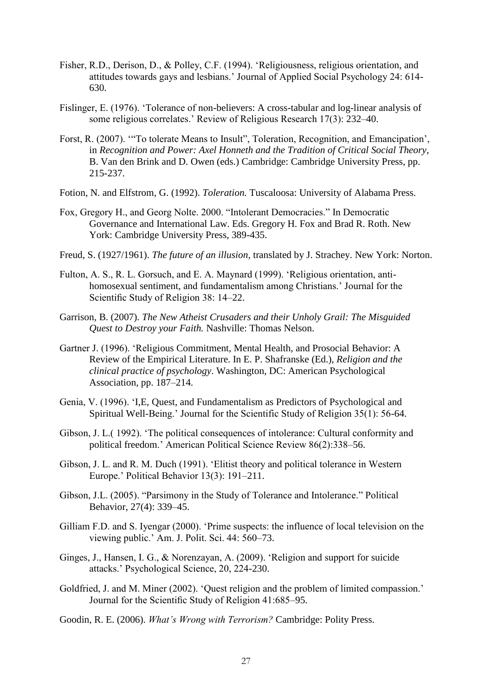- Fisher, R.D., Derison, D., & Polley, C.F. (1994). 'Religiousness, religious orientation, and attitudes towards gays and lesbians.' Journal of Applied Social Psychology 24: 614- 630.
- Fislinger, E. (1976). 'Tolerance of non-believers: A cross-tabular and log-linear analysis of some religious correlates.' Review of Religious Research 17(3): 232–40.
- Forst, R. (2007). "To tolerate Means to Insult", Toleration, Recognition, and Emancipation', in *Recognition and Power: Axel Honneth and the Tradition of Critical Social Theory*, B. Van den Brink and D. Owen (eds.) Cambridge: Cambridge University Press, pp. 215-237.
- Fotion, N. and Elfstrom, G. (1992). *Toleration.* Tuscaloosa: University of Alabama Press.
- Fox, Gregory H., and Georg Nolte. 2000. "Intolerant Democracies." In Democratic Governance and International Law. Eds. Gregory H. Fox and Brad R. Roth. New York: Cambridge University Press, 389-435.
- Freud, S. (1927/1961). *The future of an illusion,* translated by J. Strachey. New York: Norton.
- Fulton, A. S., R. L. Gorsuch, and E. A. Maynard (1999). ‗Religious orientation, antihomosexual sentiment, and fundamentalism among Christians.' Journal for the Scientific Study of Religion 38: 14–22.
- Garrison, B. (2007). *The New Atheist Crusaders and their Unholy Grail: The Misguided Quest to Destroy your Faith.* Nashville: Thomas Nelson.
- Gartner J. (1996). 'Religious Commitment, Mental Health, and Prosocial Behavior: A Review of the Empirical Literature. In E. P. Shafranske (Ed.), *Religion and the clinical practice of psychology*. Washington, DC: American Psychological Association, pp. 187–214.
- Genia, V. (1996). ‗I,E, Quest, and Fundamentalism as Predictors of Psychological and Spiritual Well-Being.' Journal for the Scientific Study of Religion 35(1): 56-64.
- Gibson, J. L. (1992). 'The political consequences of intolerance: Cultural conformity and political freedom.' American Political Science Review 86(2):338–56.
- Gibson, J. L. and R. M. Duch (1991). 'Elitist theory and political tolerance in Western Europe.' Political Behavior 13(3): 191–211.
- Gibson, J.L. (2005). "Parsimony in the Study of Tolerance and Intolerance." Political Behavior, 27(4): 339–45.
- Gilliam F.D. and S. Iyengar (2000). 'Prime suspects: the influence of local television on the viewing public.' Am. J. Polit. Sci. 44: 560–73.
- Ginges, J., Hansen, I. G., & Norenzayan, A. (2009). ‗Religion and support for suicide attacks.' Psychological Science, 20, 224-230.
- Goldfried, J. and M. Miner (2002). 'Quest religion and the problem of limited compassion.' Journal for the Scientific Study of Religion 41:685–95.
- Goodin, R. E. (2006). *What's Wrong with Terrorism?* Cambridge: Polity Press.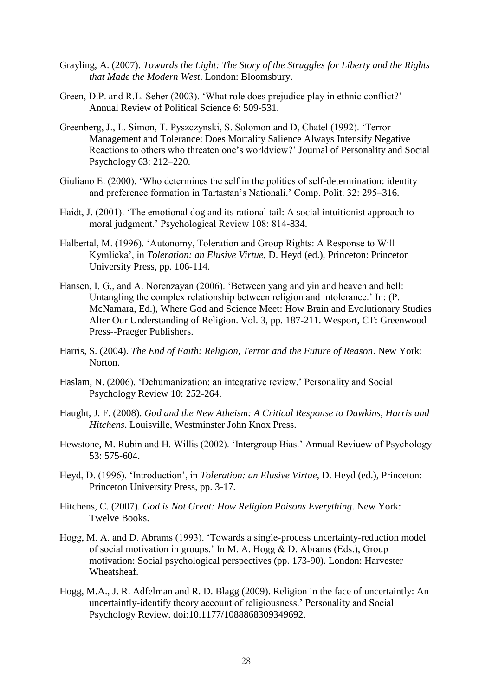- Grayling, A. (2007). *Towards the Light: The Story of the Struggles for Liberty and the Rights that Made the Modern West*. London: Bloomsbury.
- Green, D.P. and R.L. Seher (2003). 'What role does prejudice play in ethnic conflict?' Annual Review of Political Science 6: 509-531.
- Greenberg, J., L. Simon, T. Pyszczynski, S. Solomon and D, Chatel (1992). ‗Terror Management and Tolerance: Does Mortality Salience Always Intensify Negative Reactions to others who threaten one's worldview?' Journal of Personality and Social Psychology 63: 212–220.
- Giuliano E. (2000). ‗Who determines the self in the politics of self-determination: identity and preference formation in Tartastan's Nationali.' Comp. Polit. 32: 295–316.
- Haidt, J. (2001). 'The emotional dog and its rational tail: A social intuitionist approach to moral judgment.' Psychological Review 108: 814-834.
- Halbertal, M. (1996). ‗Autonomy, Toleration and Group Rights: A Response to Will Kymlicka', in *Toleration: an Elusive Virtue*, D. Heyd (ed.), Princeton: Princeton University Press, pp. 106-114.
- Hansen, I. G., and A. Norenzayan (2006). 'Between yang and yin and heaven and hell: Untangling the complex relationship between religion and intolerance.' In: (P. McNamara, Ed.), Where God and Science Meet: How Brain and Evolutionary Studies Alter Our Understanding of Religion. Vol. 3, pp. 187-211. Wesport, CT: Greenwood Press--Praeger Publishers.
- Harris, S. (2004). *The End of Faith: Religion, Terror and the Future of Reason*. New York: Norton.
- Haslam, N. (2006). 'Dehumanization: an integrative review.' Personality and Social Psychology Review 10: 252-264.
- Haught, J. F. (2008). *God and the New Atheism: A Critical Response to Dawkins, Harris and Hitchens*. Louisville, Westminster John Knox Press.
- Hewstone, M. Rubin and H. Willis (2002). 'Intergroup Bias.' Annual Reviuew of Psychology 53: 575-604.
- Heyd, D. (1996). ‗Introduction', in *Toleration: an Elusive Virtue*, D. Heyd (ed.), Princeton: Princeton University Press, pp. 3-17.
- Hitchens, C. (2007). *God is Not Great: How Religion Poisons Everything*. New York: Twelve Books.
- Hogg, M. A. and D. Abrams (1993). 'Towards a single-process uncertainty-reduction model of social motivation in groups.' In M. A. Hogg & D. Abrams (Eds.), Group motivation: Social psychological perspectives (pp. 173-90). London: Harvester Wheatsheaf.
- Hogg, M.A., J. R. Adfelman and R. D. Blagg (2009). Religion in the face of uncertaintly: An uncertaintly-identify theory account of religiousness.' Personality and Social Psychology Review. doi:10.1177/1088868309349692.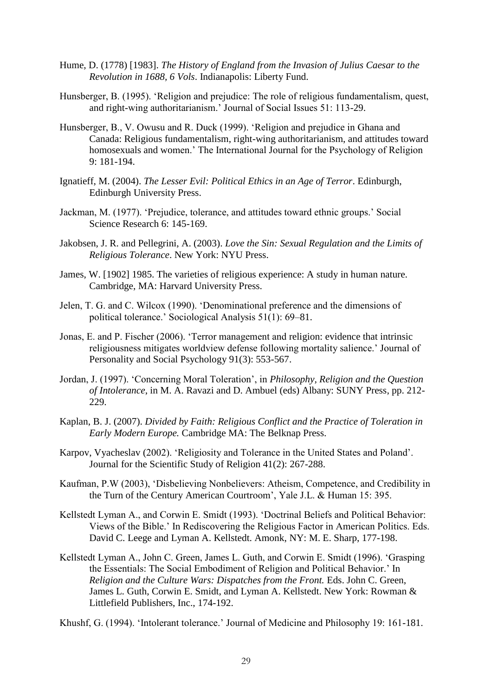- Hume, D. (1778) [1983]. *The History of England from the Invasion of Julius Caesar to the Revolution in 1688, 6 Vols*. Indianapolis: Liberty Fund.
- Hunsberger, B. (1995). 'Religion and prejudice: The role of religious fundamentalism, quest, and right-wing authoritarianism.' Journal of Social Issues 51: 113-29.
- Hunsberger, B., V. Owusu and R. Duck (1999). 'Religion and prejudice in Ghana and Canada: Religious fundamentalism, right-wing authoritarianism, and attitudes toward homosexuals and women.' The International Journal for the Psychology of Religion 9: 181-194.
- Ignatieff, M. (2004). *The Lesser Evil: Political Ethics in an Age of Terror*. Edinburgh, Edinburgh University Press.
- Jackman, M. (1977). 'Prejudice, tolerance, and attitudes toward ethnic groups.' Social Science Research 6: 145-169.
- Jakobsen, J. R. and Pellegrini, A. (2003). *Love the Sin: Sexual Regulation and the Limits of Religious Tolerance*. New York: NYU Press.
- James, W. [1902] 1985. The varieties of religious experience: A study in human nature. Cambridge, MA: Harvard University Press.
- Jelen, T. G. and C. Wilcox (1990). ‗Denominational preference and the dimensions of political tolerance.' Sociological Analysis 51(1): 69–81.
- Jonas, E. and P. Fischer (2006). 'Terror management and religion: evidence that intrinsic religiousness mitigates worldview defense following mortality salience.' Journal of Personality and Social Psychology 91(3): 553-567.
- Jordan, J. (1997). ‗Concerning Moral Toleration', in *Philosophy, Religion and the Question of Intolerance*, in M. A. Ravazi and D. Ambuel (eds) Albany: SUNY Press, pp. 212- 229.
- Kaplan, B. J. (2007). *Divided by Faith: Religious Conflict and the Practice of Toleration in Early Modern Europe.* Cambridge MA: The Belknap Press.
- Karpov, Vyacheslav (2002). 'Religiosity and Tolerance in the United States and Poland'. Journal for the Scientific Study of Religion 41(2): 267-288.
- Kaufman, P.W (2003), ‗Disbelieving Nonbelievers: Atheism, Competence, and Credibility in the Turn of the Century American Courtroom', Yale J.L. & Human 15: 395.
- Kellstedt Lyman A., and Corwin E. Smidt (1993). 'Doctrinal Beliefs and Political Behavior: Views of the Bible.' In Rediscovering the Religious Factor in American Politics. Eds. David C. Leege and Lyman A. Kellstedt. Amonk, NY: M. E. Sharp, 177-198.
- Kellstedt Lyman A., John C. Green, James L. Guth, and Corwin E. Smidt (1996). 'Grasping the Essentials: The Social Embodiment of Religion and Political Behavior.' In *Religion and the Culture Wars: Dispatches from the Front.* Eds. John C. Green, James L. Guth, Corwin E. Smidt, and Lyman A. Kellstedt. New York: Rowman & Littlefield Publishers, Inc., 174-192.

Khushf, G. (1994). 'Intolerant tolerance.' Journal of Medicine and Philosophy 19: 161-181.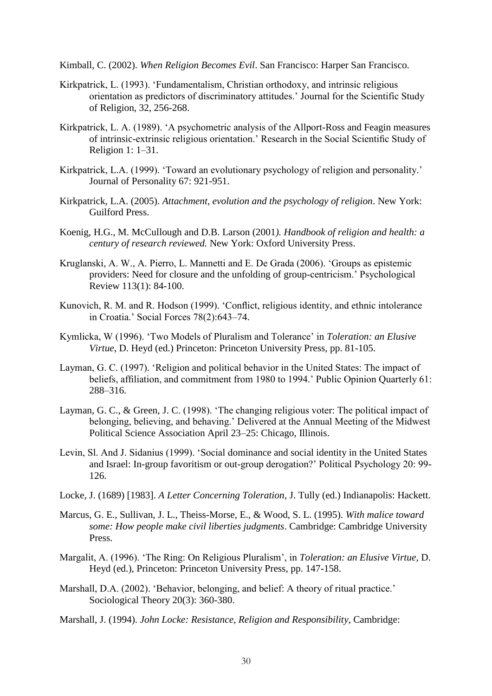Kimball, C. (2002). *When Religion Becomes Evil*. San Francisco: Harper San Francisco.

- Kirkpatrick, L. (1993). 'Fundamentalism, Christian orthodoxy, and intrinsic religious orientation as predictors of discriminatory attitudes.' Journal for the Scientific Study of Religion, 32, 256-268.
- Kirkpatrick, L. A. (1989). ‗A psychometric analysis of the Allport-Ross and Feagin measures of intrinsic-extrinsic religious orientation.' Research in the Social Scientific Study of Religion 1: 1–31.
- Kirkpatrick, L.A. (1999). 'Toward an evolutionary psychology of religion and personality.' Journal of Personality 67: 921-951.
- Kirkpatrick, L.A. (2005). *Attachment, evolution and the psychology of religion*. New York: Guilford Press.
- Koenig, H.G., M. McCullough and D.B. Larson (2001*). Handbook of religion and health: a century of research reviewed.* New York: Oxford University Press.
- Kruglanski, A. W., A. Pierro, L. Mannetti and E. De Grada (2006). ‗Groups as epistemic providers: Need for closure and the unfolding of group-centricism.' Psychological Review 113(1): 84-100.
- Kunovich, R. M. and R. Hodson (1999). 'Conflict, religious identity, and ethnic intolerance in Croatia.' Social Forces 78(2):643–74.
- Kymlicka, W (1996). ‗Two Models of Pluralism and Tolerance' in *Toleration: an Elusive Virtue*, D. Heyd (ed.) Princeton: Princeton University Press, pp. 81-105.
- Layman, G. C. (1997). 'Religion and political behavior in the United States: The impact of beliefs, affiliation, and commitment from 1980 to 1994.' Public Opinion Quarterly 61: 288–316.
- Layman, G. C., & Green, J. C. (1998). 'The changing religious voter: The political impact of belonging, believing, and behaving.' Delivered at the Annual Meeting of the Midwest Political Science Association April 23–25: Chicago, Illinois.
- Levin, Sl. And J. Sidanius (1999). 'Social dominance and social identity in the United States and Israel: In-group favoritism or out-group derogation?' Political Psychology 20: 99- 126.
- Locke, J. (1689) [1983]. *A Letter Concerning Toleration*, J. Tully (ed.) Indianapolis: Hackett.
- Marcus, G. E., Sullivan, J. L., Theiss-Morse, E., & Wood, S. L. (1995). *With malice toward some: How people make civil liberties judgments*. Cambridge: Cambridge University Press.
- Margalit, A. (1996). ‗The Ring: On Religious Pluralism', in *Toleration: an Elusive Virtue*, D. Heyd (ed.), Princeton: Princeton University Press, pp. 147-158.
- Marshall, D.A. (2002). 'Behavior, belonging, and belief: A theory of ritual practice.' Sociological Theory 20(3): 360-380.
- Marshall, J. (1994). *John Locke: Resistance, Religion and Responsibility*, Cambridge: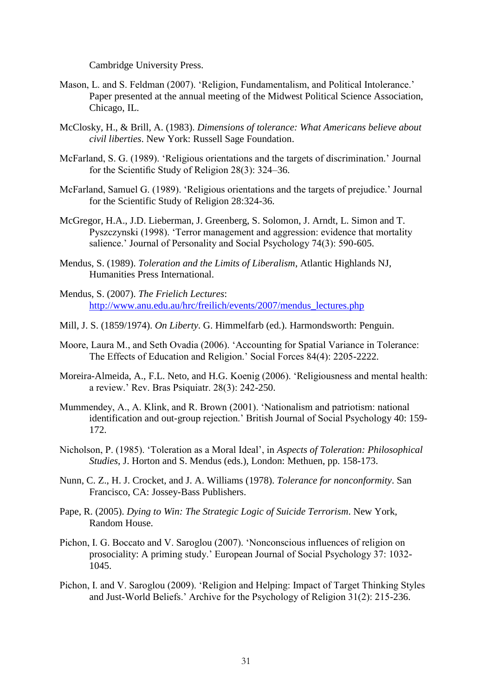Cambridge University Press.

- Mason, L. and S. Feldman (2007). 'Religion, Fundamentalism, and Political Intolerance.' Paper presented at the annual meeting of the Midwest Political Science Association, Chicago, IL.
- McClosky, H., & Brill, A. (1983). *Dimensions of tolerance: What Americans believe about civil liberties*. New York: Russell Sage Foundation.
- McFarland, S. G. (1989). 'Religious orientations and the targets of discrimination.' Journal for the Scientific Study of Religion 28(3): 324–36.
- McFarland, Samuel G. (1989). 'Religious orientations and the targets of prejudice.' Journal for the Scientific Study of Religion 28:324-36.
- McGregor, H.A., J.D. Lieberman, J. Greenberg, S. Solomon, J. Arndt, L. Simon and T. Pyszczynski (1998). 'Terror management and aggression: evidence that mortality salience.' Journal of Personality and Social Psychology 74(3): 590-605.
- Mendus, S. (1989). *Toleration and the Limits of Liberalism*, Atlantic Highlands NJ, Humanities Press International.
- Mendus, S. (2007). *The Frielich Lectures*: [http://www.anu.edu.au/hrc/freilich/events/2007/mendus\\_lectures.php](http://www.anu.edu.au/hrc/freilich/events/2007/mendus_lectures.php)
- Mill, J. S. (1859/1974). *On Liberty*. G. Himmelfarb (ed.). Harmondsworth: Penguin.
- Moore, Laura M., and Seth Ovadia (2006). 'Accounting for Spatial Variance in Tolerance: The Effects of Education and Religion.' Social Forces 84(4): 2205-2222.
- Moreira-Almeida, A., F.L. Neto, and H.G. Koenig (2006). 'Religiousness and mental health: a review.' Rev. Bras Psiquiatr. 28(3): 242-250.
- Mummendey, A., A. Klink, and R. Brown (2001). 'Nationalism and patriotism: national identification and out-group rejection.' British Journal of Social Psychology 40: 159- 172.
- Nicholson, P. (1985). ‗Toleration as a Moral Ideal', in *Aspects of Toleration: Philosophical Studies*, J. Horton and S. Mendus (eds.), London: Methuen, pp. 158-173.
- Nunn, C. Z., H. J. Crocket, and J. A. Williams (1978). *Tolerance for nonconformity*. San Francisco, CA: Jossey-Bass Publishers.
- Pape, R. (2005). *Dying to Win: The Strategic Logic of Suicide Terrorism*. New York, Random House.
- Pichon, I. G. Boccato and V. Saroglou (2007). 'Nonconscious influences of religion on prosociality: A priming study.' European Journal of Social Psychology 37: 1032- 1045.
- Pichon, I. and V. Saroglou (2009). ‗Religion and Helping: Impact of Target Thinking Styles and Just-World Beliefs.' Archive for the Psychology of Religion 31(2): 215-236.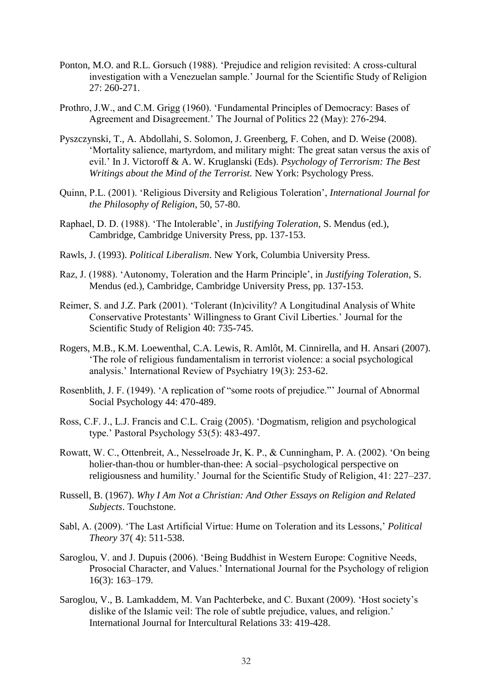- Ponton, M.O. and R.L. Gorsuch (1988). 'Prejudice and religion revisited: A cross-cultural investigation with a Venezuelan sample.' Journal for the Scientific Study of Religion 27: 260-271.
- Prothro, J.W., and C.M. Grigg (1960). 'Fundamental Principles of Democracy: Bases of Agreement and Disagreement.' The Journal of Politics 22 (May): 276-294.
- Pyszczynski, T., A. Abdollahi, S. Solomon, J. Greenberg, F. Cohen, and D. Weise (2008). ‗Mortality salience, martyrdom, and military might: The great satan versus the axis of evil.' In J. Victoroff & A. W. Kruglanski (Eds). *Psychology of Terrorism: The Best Writings about the Mind of the Terrorist.* New York: Psychology Press.
- Quinn, P.L. (2001). ‗Religious Diversity and Religious Toleration', *International Journal for the Philosophy of Religion*, 50, 57-80.
- Raphael, D. D. (1988). ‗The Intolerable', in *Justifying Toleration*, S. Mendus (ed.), Cambridge, Cambridge University Press, pp. 137-153.
- Rawls, J. (1993). *Political Liberalism*. New York, Columbia University Press.
- Raz, J. (1988). ‗Autonomy, Toleration and the Harm Principle', in *Justifying Toleration*, S. Mendus (ed.), Cambridge, Cambridge University Press, pp. 137-153.
- Reimer, S. and J.Z. Park (2001). 'Tolerant (In)civility? A Longitudinal Analysis of White Conservative Protestants' Willingness to Grant Civil Liberties.' Journal for the Scientific Study of Religion 40: 735-745.
- Rogers, M.B., K.M. Loewenthal, C.A. Lewis, R. Amlôt, M. Cinnirella, and H. Ansari (2007). ‗The role of religious fundamentalism in terrorist violence: a social psychological analysis.' International Review of Psychiatry 19(3): 253-62.
- Rosenblith, J. F. (1949). 'A replication of "some roots of prejudice." Journal of Abnormal Social Psychology 44: 470-489.
- Ross, C.F. J., L.J. Francis and C.L. Craig (2005). ‗Dogmatism, religion and psychological type.' Pastoral Psychology 53(5): 483-497.
- Rowatt, W. C., Ottenbreit, A., Nesselroade Jr, K. P., & Cunningham, P. A. (2002). 'On being holier-than-thou or humbler-than-thee: A social–psychological perspective on religiousness and humility.' Journal for the Scientific Study of Religion, 41: 227–237.
- Russell, B. (1967). *Why I Am Not a Christian: And Other Essays on Religion and Related Subjects*. Touchstone.
- Sabl, A. (2009). 'The Last Artificial Virtue: Hume on Toleration and its Lessons,' *Political Theory* 37( 4): 511-538.
- Saroglou, V. and J. Dupuis (2006). 'Being Buddhist in Western Europe: Cognitive Needs, Prosocial Character, and Values.' International Journal for the Psychology of religion 16(3): 163–179.
- Saroglou, V., B. Lamkaddem, M. Van Pachterbeke, and C. Buxant (2009). 'Host society's dislike of the Islamic veil: The role of subtle prejudice, values, and religion.' International Journal for Intercultural Relations 33: 419-428.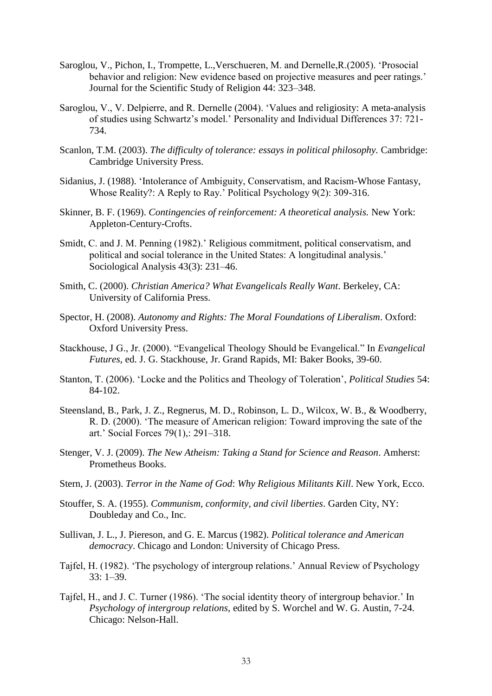- Saroglou, V., Pichon, I., Trompette, L., Verschueren, M. and Dernelle, R. (2005). 'Prosocial behavior and religion: New evidence based on projective measures and peer ratings.' Journal for the Scientific Study of Religion 44: 323–348.
- Saroglou, V., V. Delpierre, and R. Dernelle (2004). 'Values and religiosity: A meta-analysis of studies using Schwartz's model.' Personality and Individual Differences 37: 721- 734.
- Scanlon, T.M. (2003). *The difficulty of tolerance: essays in political philosophy.* Cambridge: Cambridge University Press.
- Sidanius, J. (1988). 'Intolerance of Ambiguity, Conservatism, and Racism-Whose Fantasy, Whose Reality?: A Reply to Ray.' Political Psychology 9(2): 309-316.
- Skinner, B. F. (1969). *Contingencies of reinforcement: A theoretical analysis.* New York: Appleton-Century-Crofts.
- Smidt, C. and J. M. Penning (1982).' Religious commitment, political conservatism, and political and social tolerance in the United States: A longitudinal analysis.' Sociological Analysis 43(3): 231–46.
- Smith, C. (2000). *Christian America? What Evangelicals Really Want*. Berkeley, CA: University of California Press.
- Spector, H. (2008). *Autonomy and Rights: The Moral Foundations of Liberalism*. Oxford: Oxford University Press.
- Stackhouse, J G., Jr. (2000). "Evangelical Theology Should be Evangelical." In *Evangelical Futures*, ed. J. G. Stackhouse, Jr. Grand Rapids, MI: Baker Books, 39-60.
- Stanton, T. (2006). ‗Locke and the Politics and Theology of Toleration', *Political Studies* 54: 84-102.
- Steensland, B., Park, J. Z., Regnerus, M. D., Robinson, L. D., Wilcox, W. B., & Woodberry, R. D. (2000). ‗The measure of American religion: Toward improving the sate of the art.' Social Forces 79(1),: 291–318.
- Stenger, V. J. (2009). *The New Atheism: Taking a Stand for Science and Reason*. Amherst: Prometheus Books.
- Stern, J. (2003). *Terror in the Name of God*: *Why Religious Militants Kill*. New York, Ecco.
- Stouffer, S. A. (1955). *Communism, conformity, and civil liberties*. Garden City, NY: Doubleday and Co., Inc.
- Sullivan, J. L., J. Piereson, and G. E. Marcus (1982). *Political tolerance and American democracy*. Chicago and London: University of Chicago Press.
- Tajfel, H. (1982). ‗The psychology of intergroup relations.' Annual Review of Psychology 33: 1–39.
- Tajfel, H., and J. C. Turner (1986). 'The social identity theory of intergroup behavior.' In *Psychology of intergroup relations,* edited by S. Worchel and W. G. Austin, 7-24. Chicago: Nelson-Hall.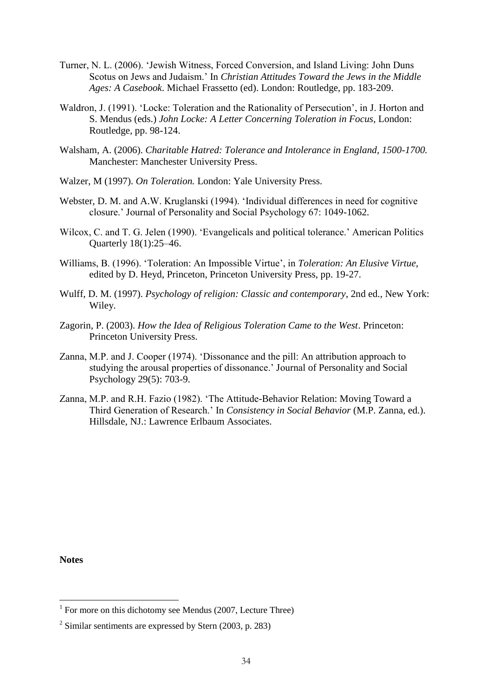- Turner, N. L. (2006). 'Jewish Witness, Forced Conversion, and Island Living: John Duns Scotus on Jews and Judaism.' In *Christian Attitudes Toward the Jews in the Middle Ages: A Casebook*. Michael Frassetto (ed). London: Routledge, pp. 183-209.
- Waldron, J. (1991). 'Locke: Toleration and the Rationality of Persecution', in J. Horton and S. Mendus (eds.) *John Locke: A Letter Concerning Toleration in Focus*, London: Routledge, pp. 98-124.
- Walsham, A. (2006). *Charitable Hatred: Tolerance and Intolerance in England, 1500-1700.* Manchester: Manchester University Press.
- Walzer, M (1997). *On Toleration.* London: Yale University Press.
- Webster, D. M. and A.W. Kruglanski (1994). 'Individual differences in need for cognitive closure.' Journal of Personality and Social Psychology 67: 1049-1062.
- Wilcox, C. and T. G. Jelen (1990). 'Evangelicals and political tolerance.' American Politics Quarterly 18(1):25–46.
- Williams, B. (1996). 'Toleration: An Impossible Virtue', in *Toleration: An Elusive Virtue*, edited by D. Heyd, Princeton, Princeton University Press, pp. 19-27.
- Wulff, D. M. (1997). *Psychology of religion: Classic and contemporary*, 2nd ed., New York: Wiley.
- Zagorin, P. (2003). *How the Idea of Religious Toleration Came to the West*. Princeton: Princeton University Press.
- Zanna, M.P. and J. Cooper (1974). 'Dissonance and the pill: An attribution approach to studying the arousal properties of dissonance.' Journal of Personality and Social Psychology 29(5): 703-9.
- Zanna, M.P. and R.H. Fazio (1982). 'The Attitude-Behavior Relation: Moving Toward a Third Generation of Research.' In *Consistency in Social Behavior* (M.P. Zanna, ed.). Hillsdale, NJ.: Lawrence Erlbaum Associates.

**Notes**

<sup>&</sup>lt;sup>1</sup> For more on this dichotomy see Mendus (2007, Lecture Three)

 $2^2$  Similar sentiments are expressed by Stern (2003, p. 283)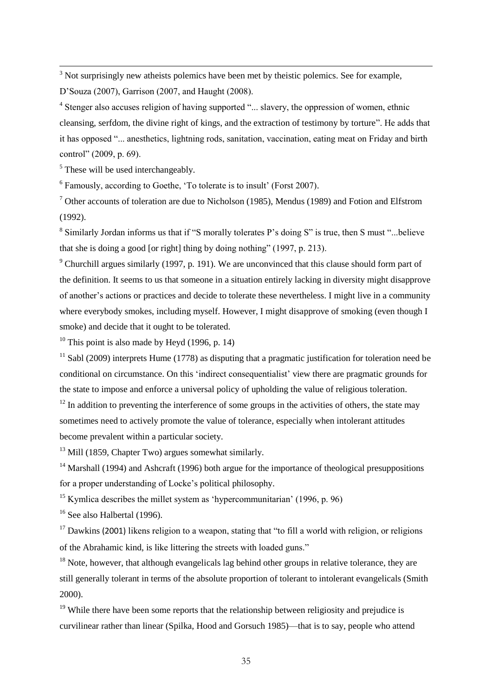$3$  Not surprisingly new atheists polemics have been met by theistic polemics. See for example,

D'Souza (2007), Garrison (2007, and Haught (2008).

<sup>4</sup> Stenger also accuses religion of having supported "... slavery, the oppression of women, ethnic cleansing, serfdom, the divine right of kings, and the extraction of testimony by torture". He adds that it has opposed "... anesthetics, lightning rods, sanitation, vaccination, eating meat on Friday and birth control" (2009, p. 69).

<sup>5</sup> These will be used interchangeably.

j

<sup>6</sup> Famously, according to Goethe, 'To tolerate is to insult' (Forst 2007).

 $<sup>7</sup>$  Other accounts of toleration are due to Nicholson (1985), Mendus (1989) and Fotion and Elfstrom</sup> (1992).

 $8$  Similarly Jordan informs us that if "S morally tolerates P's doing S" is true, then S must "...believe that she is doing a good [or right] thing by doing nothing"  $(1997, p. 213)$ .

 $9$  Churchill argues similarly (1997, p. 191). We are unconvinced that this clause should form part of the definition. It seems to us that someone in a situation entirely lacking in diversity might disapprove of another's actions or practices and decide to tolerate these nevertheless. I might live in a community where everybody smokes, including myself. However, I might disapprove of smoking (even though I smoke) and decide that it ought to be tolerated.

 $10$  This point is also made by Heyd (1996, p. 14)

<sup>11</sup> Sabl (2009) interprets Hume (1778) as disputing that a pragmatic justification for toleration need be conditional on circumstance. On this 'indirect consequentialist' view there are pragmatic grounds for the state to impose and enforce a universal policy of upholding the value of religious toleration.

 $12$  In addition to preventing the interference of some groups in the activities of others, the state may sometimes need to actively promote the value of tolerance, especially when intolerant attitudes become prevalent within a particular society.

 $13$  Mill (1859, Chapter Two) argues somewhat similarly.

<sup>14</sup> Marshall (1994) and Ashcraft (1996) both argue for the importance of theological presuppositions for a proper understanding of Locke's political philosophy.

<sup>15</sup> Kymlica describes the millet system as 'hypercommunitarian' (1996, p. 96)

 $16$  See also Halbertal (1996).

 $17$  Dawkins (2001) likens religion to a weapon, stating that "to fill a world with religion, or religions of the Abrahamic kind, is like littering the streets with loaded guns."

 $18$  Note, however, that although evangelicals lag behind other groups in relative tolerance, they are still generally tolerant in terms of the absolute proportion of tolerant to intolerant evangelicals (Smith 2000).

 $19$  While there have been some reports that the relationship between religiosity and prejudice is curvilinear rather than linear (Spilka, Hood and Gorsuch 1985)—that is to say, people who attend